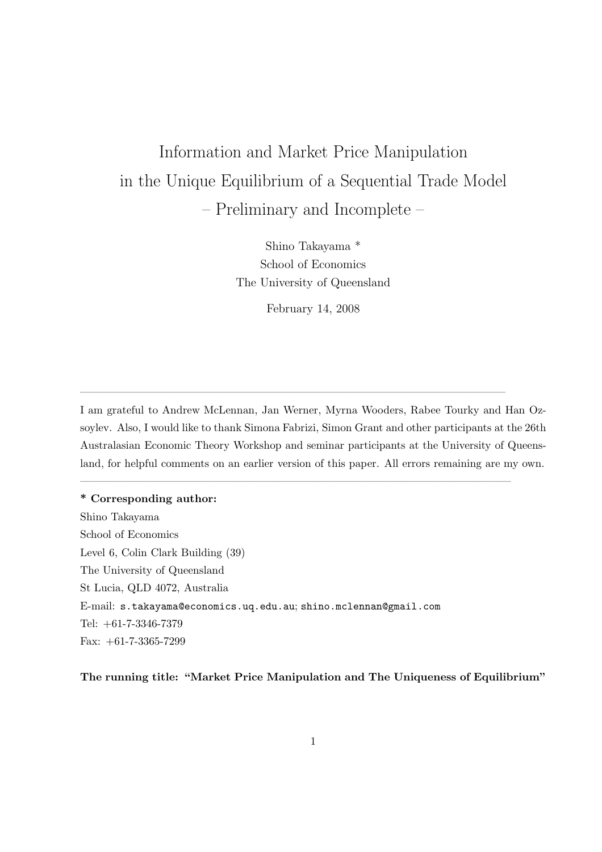# Information and Market Price Manipulation in the Unique Equilibrium of a Sequential Trade Model – Preliminary and Incomplete –

Shino Takayama \* School of Economics The University of Queensland

February 14, 2008

I am grateful to Andrew McLennan, Jan Werner, Myrna Wooders, Rabee Tourky and Han Ozsoylev. Also, I would like to thank Simona Fabrizi, Simon Grant and other participants at the 26th Australasian Economic Theory Workshop and seminar participants at the University of Queensland, for helpful comments on an earlier version of this paper. All errors remaining are my own.

 $\frac{1}{\sqrt{2\pi}}\left(\frac{1}{\sqrt{2\pi}}\right)^{2\sqrt{2\pi}}\left(\frac{1}{\sqrt{2\pi}}\right)^{2\sqrt{2\pi}}\left(\frac{1}{\sqrt{2\pi}}\right)^{2\sqrt{2\pi}}\left(\frac{1}{\sqrt{2\pi}}\right)^{2\sqrt{2\pi}}\left(\frac{1}{\sqrt{2\pi}}\right)^{2\sqrt{2\pi}}\left(\frac{1}{\sqrt{2\pi}}\right)^{2\sqrt{2\pi}}\left(\frac{1}{\sqrt{2\pi}}\right)^{2\sqrt{2\pi}}\left(\frac{1}{\sqrt{2\pi}}\right)^{2\sqrt{2\pi}}$ 

 $\frac{1}{\sqrt{2\pi}}\left(\frac{1}{\sqrt{2\pi}}\right)^{2\sqrt{2\pi}}\left(\frac{1}{\sqrt{2\pi}}\right)^{2\sqrt{2\pi}}\left(\frac{1}{\sqrt{2\pi}}\right)^{2\sqrt{2\pi}}\left(\frac{1}{\sqrt{2\pi}}\right)^{2\sqrt{2\pi}}\left(\frac{1}{\sqrt{2\pi}}\right)^{2\sqrt{2\pi}}\left(\frac{1}{\sqrt{2\pi}}\right)^{2\sqrt{2\pi}}\left(\frac{1}{\sqrt{2\pi}}\right)^{2\sqrt{2\pi}}\left(\frac{1}{\sqrt{2\pi}}\right)^{2\sqrt{2\pi}}$ 

\* Corresponding author: Shino Takayama School of Economics Level 6, Colin Clark Building (39) The University of Queensland St Lucia, QLD 4072, Australia E-mail: s.takayama@economics.uq.edu.au; shino.mclennan@gmail.com Tel: +61-7-3346-7379 Fax: +61-7-3365-7299

The running title: "Market Price Manipulation and The Uniqueness of Equilibrium"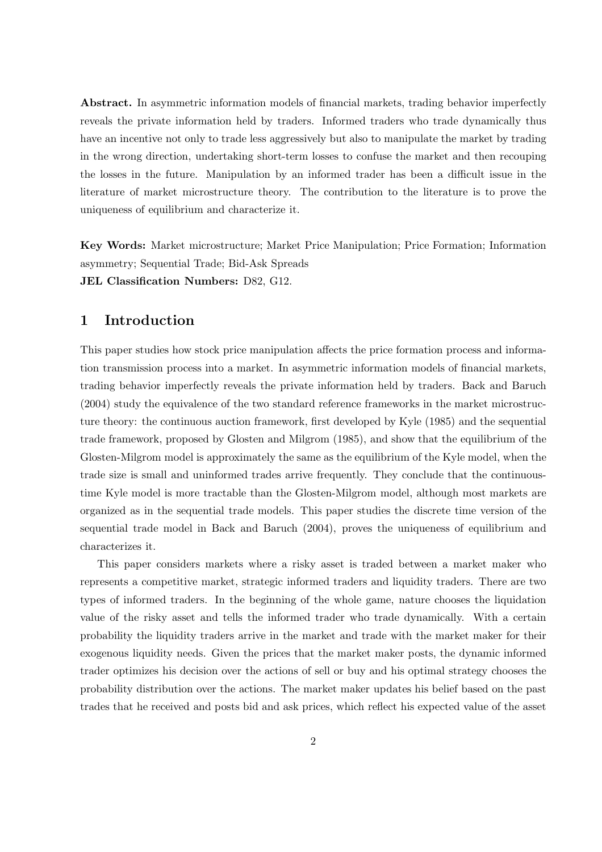Abstract. In asymmetric information models of financial markets, trading behavior imperfectly reveals the private information held by traders. Informed traders who trade dynamically thus have an incentive not only to trade less aggressively but also to manipulate the market by trading in the wrong direction, undertaking short-term losses to confuse the market and then recouping the losses in the future. Manipulation by an informed trader has been a difficult issue in the literature of market microstructure theory. The contribution to the literature is to prove the uniqueness of equilibrium and characterize it.

Key Words: Market microstructure; Market Price Manipulation; Price Formation; Information asymmetry; Sequential Trade; Bid-Ask Spreads JEL Classification Numbers: D82, G12.

# 1 Introduction

This paper studies how stock price manipulation affects the price formation process and information transmission process into a market. In asymmetric information models of financial markets, trading behavior imperfectly reveals the private information held by traders. Back and Baruch (2004) study the equivalence of the two standard reference frameworks in the market microstructure theory: the continuous auction framework, first developed by Kyle (1985) and the sequential trade framework, proposed by Glosten and Milgrom (1985), and show that the equilibrium of the Glosten-Milgrom model is approximately the same as the equilibrium of the Kyle model, when the trade size is small and uninformed trades arrive frequently. They conclude that the continuoustime Kyle model is more tractable than the Glosten-Milgrom model, although most markets are organized as in the sequential trade models. This paper studies the discrete time version of the sequential trade model in Back and Baruch (2004), proves the uniqueness of equilibrium and characterizes it.

This paper considers markets where a risky asset is traded between a market maker who represents a competitive market, strategic informed traders and liquidity traders. There are two types of informed traders. In the beginning of the whole game, nature chooses the liquidation value of the risky asset and tells the informed trader who trade dynamically. With a certain probability the liquidity traders arrive in the market and trade with the market maker for their exogenous liquidity needs. Given the prices that the market maker posts, the dynamic informed trader optimizes his decision over the actions of sell or buy and his optimal strategy chooses the probability distribution over the actions. The market maker updates his belief based on the past trades that he received and posts bid and ask prices, which reflect his expected value of the asset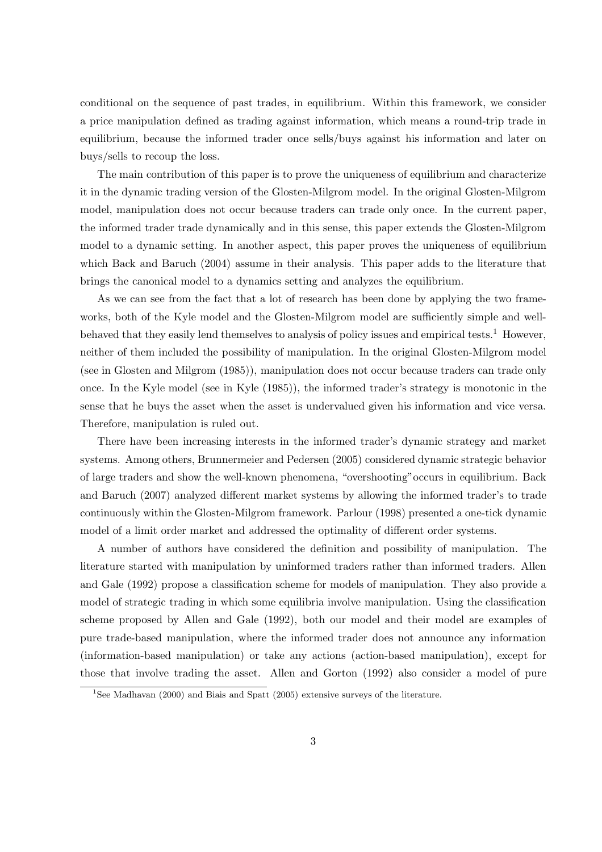conditional on the sequence of past trades, in equilibrium. Within this framework, we consider a price manipulation defined as trading against information, which means a round-trip trade in equilibrium, because the informed trader once sells/buys against his information and later on buys/sells to recoup the loss.

The main contribution of this paper is to prove the uniqueness of equilibrium and characterize it in the dynamic trading version of the Glosten-Milgrom model. In the original Glosten-Milgrom model, manipulation does not occur because traders can trade only once. In the current paper, the informed trader trade dynamically and in this sense, this paper extends the Glosten-Milgrom model to a dynamic setting. In another aspect, this paper proves the uniqueness of equilibrium which Back and Baruch (2004) assume in their analysis. This paper adds to the literature that brings the canonical model to a dynamics setting and analyzes the equilibrium.

As we can see from the fact that a lot of research has been done by applying the two frameworks, both of the Kyle model and the Glosten-Milgrom model are sufficiently simple and wellbehaved that they easily lend themselves to analysis of policy issues and empirical tests.<sup>1</sup> However, neither of them included the possibility of manipulation. In the original Glosten-Milgrom model (see in Glosten and Milgrom (1985)), manipulation does not occur because traders can trade only once. In the Kyle model (see in Kyle (1985)), the informed trader's strategy is monotonic in the sense that he buys the asset when the asset is undervalued given his information and vice versa. Therefore, manipulation is ruled out.

There have been increasing interests in the informed trader's dynamic strategy and market systems. Among others, Brunnermeier and Pedersen (2005) considered dynamic strategic behavior of large traders and show the well-known phenomena, "overshooting"occurs in equilibrium. Back and Baruch (2007) analyzed different market systems by allowing the informed trader's to trade continuously within the Glosten-Milgrom framework. Parlour (1998) presented a one-tick dynamic model of a limit order market and addressed the optimality of different order systems.

A number of authors have considered the definition and possibility of manipulation. The literature started with manipulation by uninformed traders rather than informed traders. Allen and Gale (1992) propose a classification scheme for models of manipulation. They also provide a model of strategic trading in which some equilibria involve manipulation. Using the classification scheme proposed by Allen and Gale (1992), both our model and their model are examples of pure trade-based manipulation, where the informed trader does not announce any information (information-based manipulation) or take any actions (action-based manipulation), except for those that involve trading the asset. Allen and Gorton (1992) also consider a model of pure

<sup>&</sup>lt;sup>1</sup>See Madhavan (2000) and Biais and Spatt (2005) extensive surveys of the literature.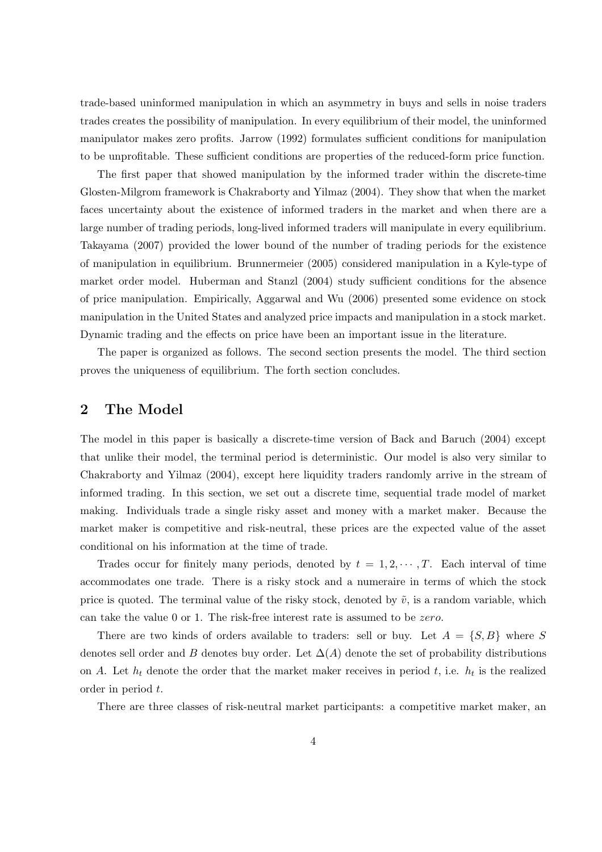trade-based uninformed manipulation in which an asymmetry in buys and sells in noise traders trades creates the possibility of manipulation. In every equilibrium of their model, the uninformed manipulator makes zero profits. Jarrow (1992) formulates sufficient conditions for manipulation to be unprofitable. These sufficient conditions are properties of the reduced-form price function.

The first paper that showed manipulation by the informed trader within the discrete-time Glosten-Milgrom framework is Chakraborty and Yilmaz (2004). They show that when the market faces uncertainty about the existence of informed traders in the market and when there are a large number of trading periods, long-lived informed traders will manipulate in every equilibrium. Takayama (2007) provided the lower bound of the number of trading periods for the existence of manipulation in equilibrium. Brunnermeier (2005) considered manipulation in a Kyle-type of market order model. Huberman and Stanzl (2004) study sufficient conditions for the absence of price manipulation. Empirically, Aggarwal and Wu (2006) presented some evidence on stock manipulation in the United States and analyzed price impacts and manipulation in a stock market. Dynamic trading and the effects on price have been an important issue in the literature.

The paper is organized as follows. The second section presents the model. The third section proves the uniqueness of equilibrium. The forth section concludes.

## 2 The Model

The model in this paper is basically a discrete-time version of Back and Baruch (2004) except that unlike their model, the terminal period is deterministic. Our model is also very similar to Chakraborty and Yilmaz (2004), except here liquidity traders randomly arrive in the stream of informed trading. In this section, we set out a discrete time, sequential trade model of market making. Individuals trade a single risky asset and money with a market maker. Because the market maker is competitive and risk-neutral, these prices are the expected value of the asset conditional on his information at the time of trade.

Trades occur for finitely many periods, denoted by  $t = 1, 2, \cdots, T$ . Each interval of time accommodates one trade. There is a risky stock and a numeraire in terms of which the stock price is quoted. The terminal value of the risky stock, denoted by  $\tilde{v}$ , is a random variable, which can take the value 0 or 1. The risk-free interest rate is assumed to be zero.

There are two kinds of orders available to traders: sell or buy. Let  $A = \{S, B\}$  where S denotes sell order and B denotes buy order. Let  $\Delta(A)$  denote the set of probability distributions on A. Let  $h_t$  denote the order that the market maker receives in period t, i.e.  $h_t$  is the realized order in period t.

There are three classes of risk-neutral market participants: a competitive market maker, an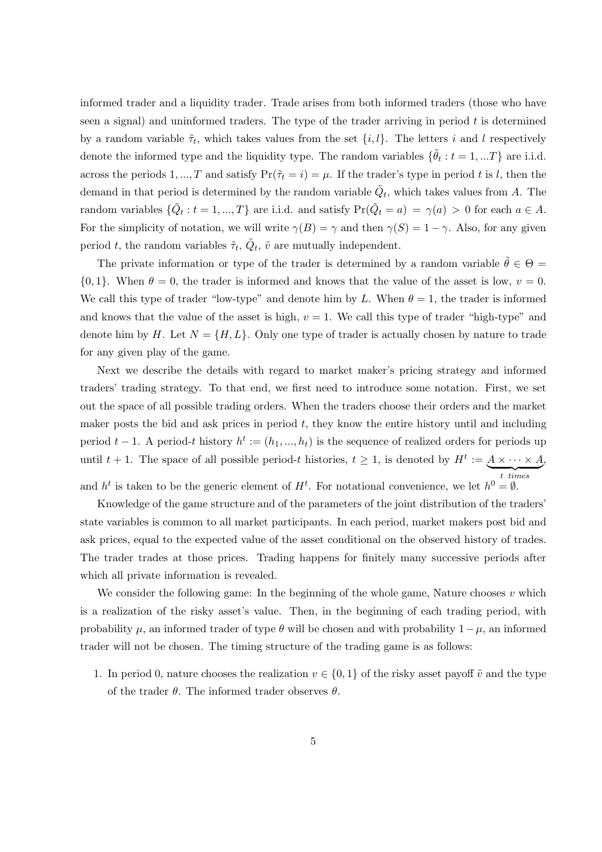informed trader and a liquidity trader. Trade arises from both informed traders (those who have seen a signal) and uninformed traders. The type of the trader arriving in period  $t$  is determined by a random variable  $\tilde{\tau}_t$ , which takes values from the set  $\{i, l\}$ . The letters i and l respectively denote the informed type and the liquidity type. The random variables  $\{\tilde{\theta}_t : t = 1, ...T\}$  are i.i.d. across the periods 1, ..., T and satisfy  $Pr(\tilde{\tau}_t = i) = \mu$ . If the trader's type in period t is l, then the demand in that period is determined by the random variable  $\tilde{Q}_t$ , which takes values from A. The random variables  $\{\tilde{Q}_t: t = 1, ..., T\}$  are i.i.d. and satisfy  $Pr(\tilde{Q}_t = a) = \gamma(a) > 0$  for each  $a \in A$ . For the simplicity of notation, we will write  $\gamma(B) = \gamma$  and then  $\gamma(S) = 1 - \gamma$ . Also, for any given period t, the random variables  $\tilde{\tau}_t$ ,  $\tilde{Q}_t$ ,  $\tilde{v}$  are mutually independent.

The private information or type of the trader is determined by a random variable  $\tilde{\theta} \in \Theta =$  $\{0,1\}$ . When  $\theta = 0$ , the trader is informed and knows that the value of the asset is low,  $v = 0$ . We call this type of trader "low-type" and denote him by L. When  $\theta = 1$ , the trader is informed and knows that the value of the asset is high,  $v = 1$ . We call this type of trader "high-type" and denote him by H. Let  $N = \{H, L\}$ . Only one type of trader is actually chosen by nature to trade for any given play of the game.

Next we describe the details with regard to market maker's pricing strategy and informed traders' trading strategy. To that end, we first need to introduce some notation. First, we set out the space of all possible trading orders. When the traders choose their orders and the market maker posts the bid and ask prices in period  $t$ , they know the entire history until and including period  $t-1$ . A period-t history  $h^t := (h_1, ..., h_t)$  is the sequence of realized orders for periods up until  $t + 1$ . The space of all possible period-t histories,  $t \geq 1$ , is denoted by  $H^t := A \times \cdots \times A$  ${t}$   ${times}$ t times , and  $h^t$  is taken to be the generic element of  $H^t$ . For notational convenience, we let  $h^0 = \emptyset$ .

Knowledge of the game structure and of the parameters of the joint distribution of the traders' state variables is common to all market participants. In each period, market makers post bid and ask prices, equal to the expected value of the asset conditional on the observed history of trades. The trader trades at those prices. Trading happens for finitely many successive periods after which all private information is revealed.

We consider the following game: In the beginning of the whole game, Nature chooses  $v$  which is a realization of the risky asset's value. Then, in the beginning of each trading period, with probability  $\mu$ , an informed trader of type  $\theta$  will be chosen and with probability  $1-\mu$ , an informed trader will not be chosen. The timing structure of the trading game is as follows:

1. In period 0, nature chooses the realization  $v \in \{0,1\}$  of the risky asset payoff  $\tilde{v}$  and the type of the trader  $\theta$ . The informed trader observes  $\theta$ .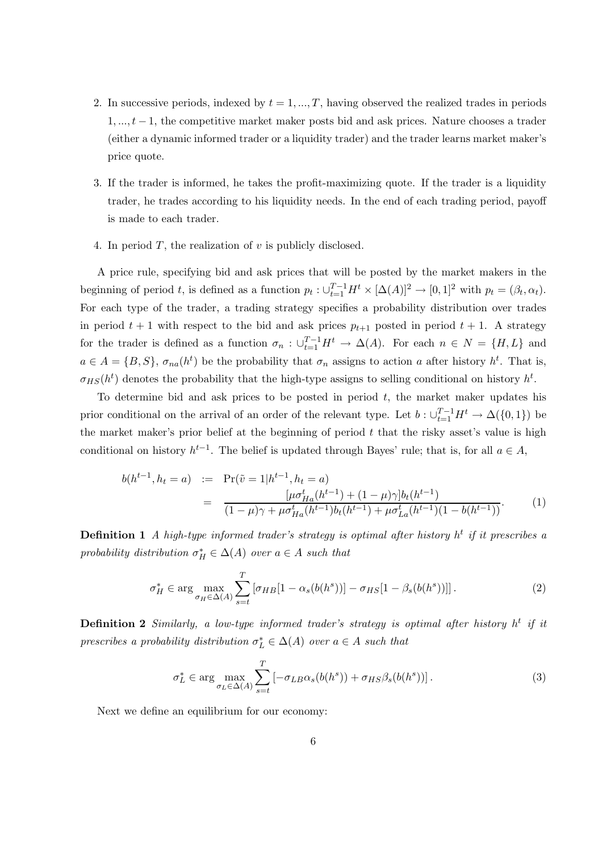- 2. In successive periods, indexed by  $t = 1, ..., T$ , having observed the realized trades in periods  $1, \ldots, t-1$ , the competitive market maker posts bid and ask prices. Nature chooses a trader (either a dynamic informed trader or a liquidity trader) and the trader learns market maker's price quote.
- 3. If the trader is informed, he takes the profit-maximizing quote. If the trader is a liquidity trader, he trades according to his liquidity needs. In the end of each trading period, payoff is made to each trader.
- 4. In period T, the realization of  $v$  is publicly disclosed.

A price rule, specifying bid and ask prices that will be posted by the market makers in the beginning of period t, is defined as a function  $p_t : \bigcup_{t=1}^{T-1} H^t \times [\Delta(A)]^2 \to [0,1]^2$  with  $p_t = (\beta_t, \alpha_t)$ . For each type of the trader, a trading strategy specifies a probability distribution over trades in period  $t + 1$  with respect to the bid and ask prices  $p_{t+1}$  posted in period  $t + 1$ . A strategy for the trader is defined as a function  $\sigma_n$ :  $\bigcup_{t=1}^{T-1} H^t \to \Delta(A)$ . For each  $n \in N = \{H, L\}$  and  $a \in A = \{B, S\}, \sigma_{na}(h^t)$  be the probability that  $\sigma_n$  assigns to action a after history  $h^t$ . That is,  $\sigma_{HS}(h^t)$  denotes the probability that the high-type assigns to selling conditional on history  $h^t$ .

To determine bid and ask prices to be posted in period  $t$ , the market maker updates his prior conditional on the arrival of an order of the relevant type. Let  $b: \bigcup_{t=1}^{T-1} H^t \to \Delta({0, 1})$  be the market maker's prior belief at the beginning of period  $t$  that the risky asset's value is high conditional on history  $h^{t-1}$ . The belief is updated through Bayes' rule; that is, for all  $a \in A$ ,

$$
b(h^{t-1}, h_t = a) := \Pr(\tilde{v} = 1 | h^{t-1}, h_t = a)
$$
  
= 
$$
\frac{[\mu \sigma_{Ha}^t(h^{t-1}) + (1 - \mu)\gamma]b_t(h^{t-1})}{(1 - \mu)\gamma + \mu \sigma_{Ha}^t(h^{t-1})b_t(h^{t-1}) + \mu \sigma_{La}^t(h^{t-1})(1 - b(h^{t-1}))}.
$$
 (1)

**Definition 1** A high-type informed trader's strategy is optimal after history  $h^t$  if it prescribes a probability distribution  $\sigma_H^* \in \Delta(A)$  over  $a \in A$  such that

$$
\sigma_H^* \in \arg\max_{\sigma_H \in \Delta(A)} \sum_{s=t}^T \left[ \sigma_{HB} [1 - \alpha_s(b(h^s))] - \sigma_{HS} [1 - \beta_s(b(h^s))] \right]. \tag{2}
$$

**Definition 2** Similarly, a low-type informed trader's strategy is optimal after history  $h^t$  if it prescribes a probability distribution  $\sigma_L^* \in \Delta(A)$  over  $a \in A$  such that

$$
\sigma_L^* \in \arg\max_{\sigma_L \in \Delta(A)} \sum_{s=t}^T \left[ -\sigma_{LB}\alpha_s(b(h^s)) + \sigma_{HS}\beta_s(b(h^s)) \right]. \tag{3}
$$

Next we define an equilibrium for our economy: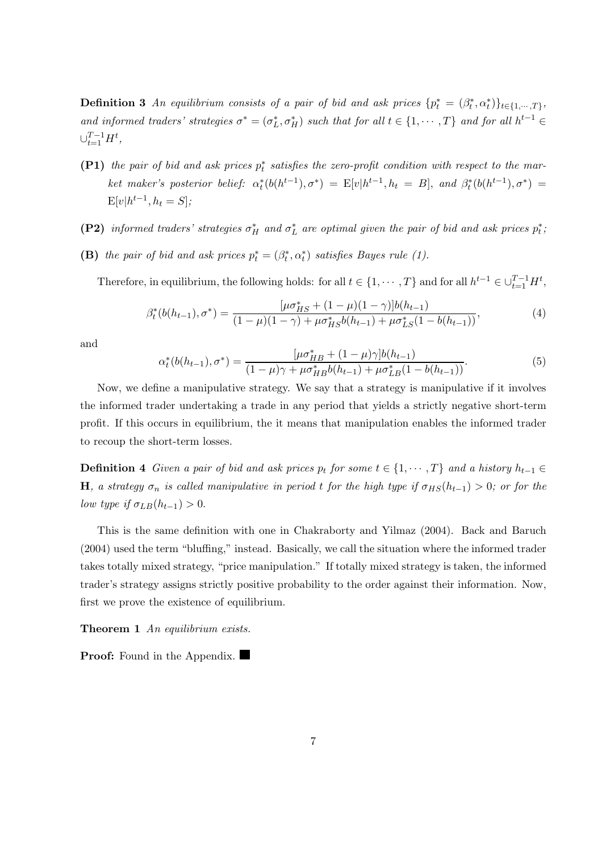**Definition 3** An equilibrium consists of a pair of bid and ask prices  $\{p_t^* = (\beta_t^*, \alpha_t^*)\}_{t \in \{1, \cdots, T\}}$ , and informed traders' strategies  $\sigma^* = (\sigma_L^*, \sigma_H^*)$  such that for all  $t \in \{1, \cdots, T\}$  and for all  $h^{t-1} \in$  $\cup_{t=1}^{T-1} H^t$ ,

- (P1) the pair of bid and ask prices  $p_t^*$  satisfies the zero-profit condition with respect to the market maker's posterior belief:  $\alpha_t^*(b(h^{t-1}), \sigma^*) = E[v|h^{t-1}, h_t = B]$ , and  $\beta_t^*(b(h^{t-1}), \sigma^*) =$  $E[v|h^{t-1}, h_t = S];$
- (P2) informed traders' strategies  $\sigma_H^*$  and  $\sigma_L^*$  are optimal given the pair of bid and ask prices  $p_t^*$ ;
- (B) the pair of bid and ask prices  $p_t^* = (\beta_t^*, \alpha_t^*)$  satisfies Bayes rule (1).

Therefore, in equilibrium, the following holds: for all  $t \in \{1, \dots, T\}$  and for all  $h^{t-1} \in \bigcup_{t=1}^{T-1} H^t$ ,

$$
\beta_t^*(b(h_{t-1}), \sigma^*) = \frac{[\mu \sigma_{HS}^* + (1 - \mu)(1 - \gamma)]b(h_{t-1})}{(1 - \mu)(1 - \gamma) + \mu \sigma_{HS}^* b(h_{t-1}) + \mu \sigma_{LS}^*(1 - b(h_{t-1}))},\tag{4}
$$

and

$$
\alpha_t^*(b(h_{t-1}), \sigma^*) = \frac{[\mu \sigma_{HB}^* + (1 - \mu)\gamma]b(h_{t-1})}{(1 - \mu)\gamma + \mu \sigma_{HB}^* b(h_{t-1}) + \mu \sigma_{LB}^*(1 - b(h_{t-1}))}.
$$
\n(5)

Now, we define a manipulative strategy. We say that a strategy is manipulative if it involves the informed trader undertaking a trade in any period that yields a strictly negative short-term profit. If this occurs in equilibrium, the it means that manipulation enables the informed trader to recoup the short-term losses.

**Definition 4** Given a pair of bid and ask prices  $p_t$  for some  $t \in \{1, \cdots, T\}$  and a history  $h_{t-1} \in$ H, a strategy  $\sigma_n$  is called manipulative in period t for the high type if  $\sigma_{HS}(h_{t-1}) > 0$ ; or for the low type if  $\sigma_{LB}(h_{t-1}) > 0$ .

This is the same definition with one in Chakraborty and Yilmaz (2004). Back and Baruch (2004) used the term "bluffing," instead. Basically, we call the situation where the informed trader takes totally mixed strategy, "price manipulation." If totally mixed strategy is taken, the informed trader's strategy assigns strictly positive probability to the order against their information. Now, first we prove the existence of equilibrium.

Theorem 1 An equilibrium exists.

**Proof:** Found in the Appendix.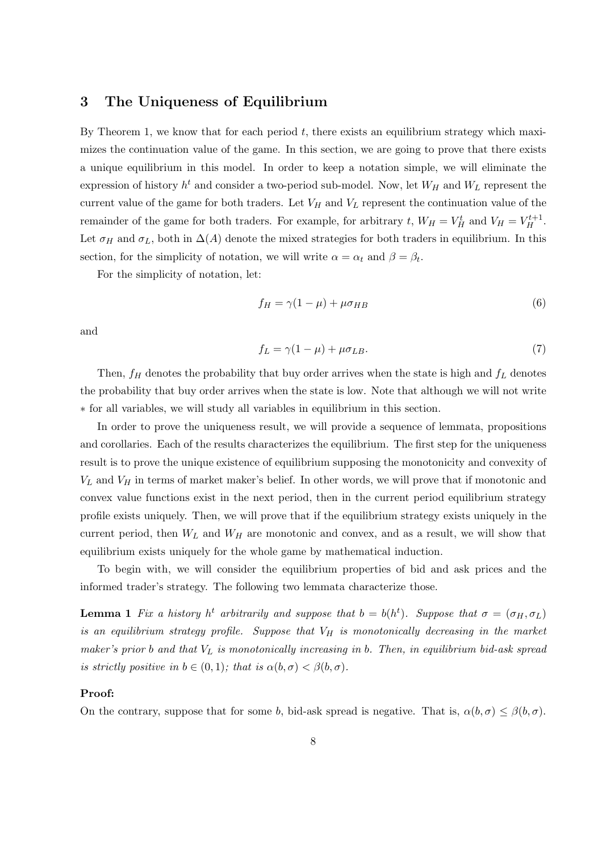# 3 The Uniqueness of Equilibrium

By Theorem 1, we know that for each period  $t$ , there exists an equilibrium strategy which maximizes the continuation value of the game. In this section, we are going to prove that there exists a unique equilibrium in this model. In order to keep a notation simple, we will eliminate the expression of history  $h^t$  and consider a two-period sub-model. Now, let  $W_H$  and  $W_L$  represent the current value of the game for both traders. Let  $V_H$  and  $V_L$  represent the continuation value of the remainder of the game for both traders. For example, for arbitrary t,  $W_H = V_H^t$  and  $V_H = V_H^{t+1}$ . Let  $\sigma_H$  and  $\sigma_L$ , both in  $\Delta(A)$  denote the mixed strategies for both traders in equilibrium. In this section, for the simplicity of notation, we will write  $\alpha = \alpha_t$  and  $\beta = \beta_t$ .

For the simplicity of notation, let:

$$
f_H = \gamma (1 - \mu) + \mu \sigma_{HB} \tag{6}
$$

and

$$
f_L = \gamma (1 - \mu) + \mu \sigma_{LB}.\tag{7}
$$

Then,  $f_H$  denotes the probability that buy order arrives when the state is high and  $f_L$  denotes the probability that buy order arrives when the state is low. Note that although we will not write ∗ for all variables, we will study all variables in equilibrium in this section.

In order to prove the uniqueness result, we will provide a sequence of lemmata, propositions and corollaries. Each of the results characterizes the equilibrium. The first step for the uniqueness result is to prove the unique existence of equilibrium supposing the monotonicity and convexity of  $V_L$  and  $V_H$  in terms of market maker's belief. In other words, we will prove that if monotonic and convex value functions exist in the next period, then in the current period equilibrium strategy profile exists uniquely. Then, we will prove that if the equilibrium strategy exists uniquely in the current period, then  $W_L$  and  $W_H$  are monotonic and convex, and as a result, we will show that equilibrium exists uniquely for the whole game by mathematical induction.

To begin with, we will consider the equilibrium properties of bid and ask prices and the informed trader's strategy. The following two lemmata characterize those.

**Lemma 1** Fix a history  $h^t$  arbitrarily and suppose that  $b = b(h^t)$ . Suppose that  $\sigma = (\sigma_H, \sigma_L)$ is an equilibrium strategy profile. Suppose that  $V_H$  is monotonically decreasing in the market maker's prior b and that  $V_L$  is monotonically increasing in b. Then, in equilibrium bid-ask spread is strictly positive in  $b \in (0,1)$ ; that is  $\alpha(b,\sigma) < \beta(b,\sigma)$ .

#### Proof:

On the contrary, suppose that for some b, bid-ask spread is negative. That is,  $\alpha(b, \sigma) \leq \beta(b, \sigma)$ .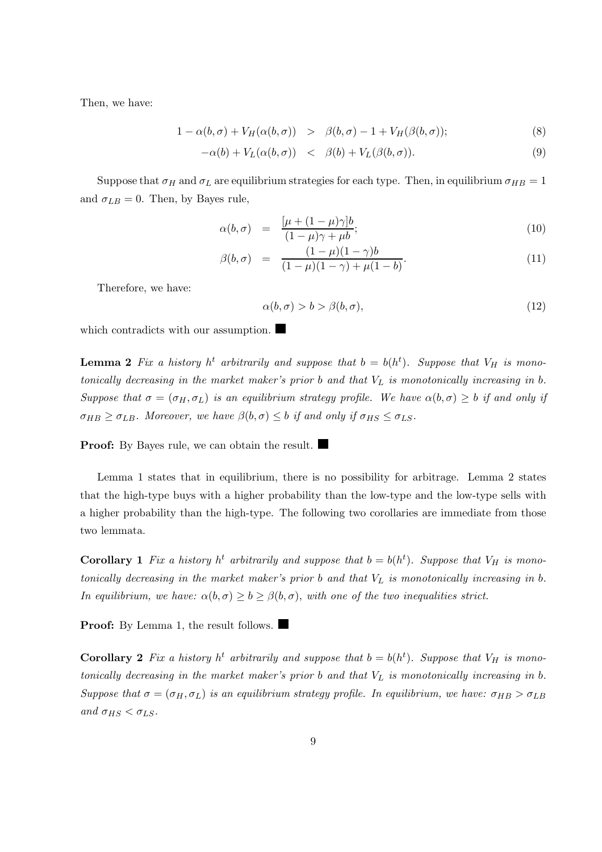Then, we have:

$$
1 - \alpha(b, \sigma) + V_H(\alpha(b, \sigma)) > \beta(b, \sigma) - 1 + V_H(\beta(b, \sigma)); \tag{8}
$$

$$
-\alpha(b) + V_L(\alpha(b, \sigma)) \quad < \quad \beta(b) + V_L(\beta(b, \sigma)). \tag{9}
$$

Suppose that  $\sigma_H$  and  $\sigma_L$  are equilibrium strategies for each type. Then, in equilibrium  $\sigma_{HB} = 1$ and  $\sigma_{LB} = 0$ . Then, by Bayes rule,

$$
\alpha(b,\sigma) = \frac{[\mu + (1-\mu)\gamma]b}{(1-\mu)\gamma + \mu b};\tag{10}
$$

$$
\beta(b,\sigma) = \frac{(1-\mu)(1-\gamma)b}{(1-\mu)(1-\gamma)+\mu(1-b)}.\tag{11}
$$

Therefore, we have:

$$
\alpha(b,\sigma) > b > \beta(b,\sigma),\tag{12}
$$

which contradicts with our assumption.

**Lemma 2** Fix a history  $h^t$  arbitrarily and suppose that  $b = b(h^t)$ . Suppose that  $V_H$  is monotonically decreasing in the market maker's prior  $b$  and that  $V_L$  is monotonically increasing in  $b$ . Suppose that  $\sigma = (\sigma_H, \sigma_L)$  is an equilibrium strategy profile. We have  $\alpha(b, \sigma) \geq b$  if and only if  $\sigma_{HB} \geq \sigma_{LB}$ . Moreover, we have  $\beta(b,\sigma) \leq b$  if and only if  $\sigma_{HS} \leq \sigma_{LS}$ .

**Proof:** By Bayes rule, we can obtain the result.

Lemma 1 states that in equilibrium, there is no possibility for arbitrage. Lemma 2 states that the high-type buys with a higher probability than the low-type and the low-type sells with a higher probability than the high-type. The following two corollaries are immediate from those two lemmata.

**Corollary 1** Fix a history  $h^t$  arbitrarily and suppose that  $b = b(h^t)$ . Suppose that  $V_H$  is monotonically decreasing in the market maker's prior  $b$  and that  $V_L$  is monotonically increasing in  $b$ . In equilibrium, we have:  $\alpha(b,\sigma) \geq b \geq \beta(b,\sigma)$ , with one of the two inequalities strict.

**Proof:** By Lemma 1, the result follows.

**Corollary 2** Fix a history  $h^t$  arbitrarily and suppose that  $b = b(h^t)$ . Suppose that  $V_H$  is monotonically decreasing in the market maker's prior  $b$  and that  $V_L$  is monotonically increasing in  $b$ . Suppose that  $\sigma = (\sigma_H, \sigma_L)$  is an equilibrium strategy profile. In equilibrium, we have:  $\sigma_{HB} > \sigma_{LB}$ and  $\sigma_{HS} < \sigma_{LS}$ .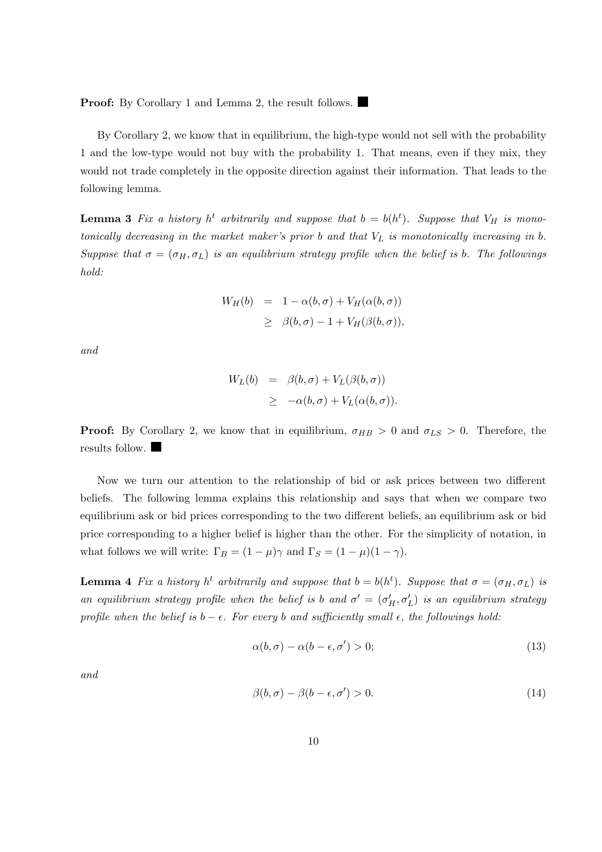**Proof:** By Corollary 1 and Lemma 2, the result follows.

By Corollary 2, we know that in equilibrium, the high-type would not sell with the probability 1 and the low-type would not buy with the probability 1. That means, even if they mix, they would not trade completely in the opposite direction against their information. That leads to the following lemma.

**Lemma 3** Fix a history  $h^t$  arbitrarily and suppose that  $b = b(h^t)$ . Suppose that  $V_H$  is monotonically decreasing in the market maker's prior  $b$  and that  $V_L$  is monotonically increasing in  $b$ . Suppose that  $\sigma = (\sigma_H, \sigma_L)$  is an equilibrium strategy profile when the belief is b. The followings hold:

$$
W_H(b) = 1 - \alpha(b, \sigma) + V_H(\alpha(b, \sigma))
$$
  
\n
$$
\geq \beta(b, \sigma) - 1 + V_H(\beta(b, \sigma)),
$$

and

$$
W_L(b) = \beta(b, \sigma) + V_L(\beta(b, \sigma))
$$
  
 
$$
\geq -\alpha(b, \sigma) + V_L(\alpha(b, \sigma)).
$$

**Proof:** By Corollary 2, we know that in equilibrium,  $\sigma_{HB} > 0$  and  $\sigma_{LS} > 0$ . Therefore, the results follow.

Now we turn our attention to the relationship of bid or ask prices between two different beliefs. The following lemma explains this relationship and says that when we compare two equilibrium ask or bid prices corresponding to the two different beliefs, an equilibrium ask or bid price corresponding to a higher belief is higher than the other. For the simplicity of notation, in what follows we will write:  $\Gamma_B = (1 - \mu)\gamma$  and  $\Gamma_S = (1 - \mu)(1 - \gamma)$ .

**Lemma 4** Fix a history  $h^t$  arbitrarily and suppose that  $b = b(h^t)$ . Suppose that  $\sigma = (\sigma_H, \sigma_L)$  is an equilibrium strategy profile when the belief is b and  $\sigma' = (\sigma'_H, \sigma'_L)$  is an equilibrium strategy profile when the belief is  $b - \epsilon$ . For every b and sufficiently small  $\epsilon$ , the followings hold:

$$
\alpha(b,\sigma) - \alpha(b-\epsilon,\sigma') > 0; \tag{13}
$$

and

$$
\beta(b,\sigma) - \beta(b-\epsilon,\sigma') > 0. \tag{14}
$$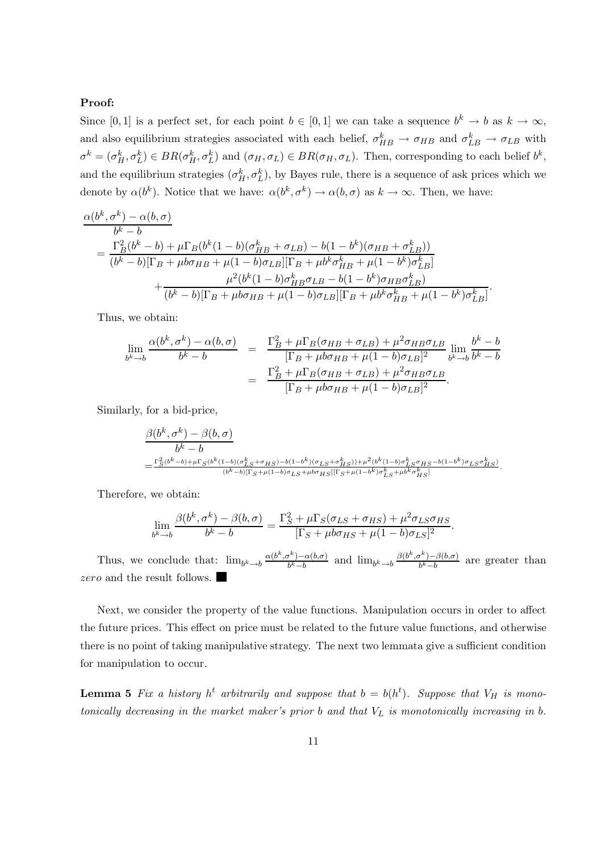## Proof:

Since [0, 1] is a perfect set, for each point  $b \in [0,1]$  we can take a sequence  $b^k \to b$  as  $k \to \infty$ , and also equilibrium strategies associated with each belief,  $\sigma_{HB}^k \to \sigma_{HB}$  and  $\sigma_{LB}^k \to \sigma_{LB}$  with  $\sigma^k = (\sigma_H^k, \sigma_L^k) \in BR(\sigma_H^k, \sigma_L^k)$  and  $(\sigma_H, \sigma_L) \in BR(\sigma_H, \sigma_L)$ . Then, corresponding to each belief  $b^k$ , and the equilibrium strategies  $(\sigma_H^k, \sigma_L^k)$ , by Bayes rule, there is a sequence of ask prices which we denote by  $\alpha(b^k)$ . Notice that we have:  $\alpha(b^k, \sigma^k) \to \alpha(b, \sigma)$  as  $k \to \infty$ . Then, we have:

$$
\frac{\alpha(b^k, \sigma^k) - \alpha(b, \sigma)}{b^k - b}
$$
\n
$$
= \frac{\Gamma_B^2(b^k - b) + \mu \Gamma_B(b^k(1 - b)(\sigma_{HB}^k + \sigma_{LB}) - b(1 - b^k)(\sigma_{HB} + \sigma_{LB}^k))}{(b^k - b)[\Gamma_B + \mu b \sigma_{HB} + \mu(1 - b)\sigma_{LB}][\Gamma_B + \mu b^k \sigma_{HB}^k + \mu(1 - b^k)\sigma_{LB}^k]} + \frac{\mu^2(b^k(1 - b)\sigma_{HB}^k \sigma_{LB} - b(1 - b^k)\sigma_{HB} \sigma_{LB}^k)}{(b^k - b)[\Gamma_B + \mu b \sigma_{HB} + \mu(1 - b)\sigma_{LB}][\Gamma_B + \mu b^k \sigma_{HB}^k + \mu(1 - b^k)\sigma_{LB}^k]}. \tag{10.11}
$$

Thus, we obtain:

$$
\lim_{b^k \to b} \frac{\alpha(b^k, \sigma^k) - \alpha(b, \sigma)}{b^k - b} = \frac{\Gamma_B^2 + \mu \Gamma_B(\sigma_{HB} + \sigma_{LB}) + \mu^2 \sigma_{HB} \sigma_{LB}}{[\Gamma_B + \mu b \sigma_{HB} + \mu (1 - b) \sigma_{LB}]^2} \lim_{b^k \to b} \frac{b^k - b}{b^k - b}
$$
\n
$$
= \frac{\Gamma_B^2 + \mu \Gamma_B(\sigma_{HB} + \sigma_{LB}) + \mu^2 \sigma_{HB} \sigma_{LB}}{[\Gamma_B + \mu b \sigma_{HB} + \mu (1 - b) \sigma_{LB}]^2}.
$$

Similarly, for a bid-price,

$$
\frac{\beta(b^k, \sigma^k) - \beta(b, \sigma)}{b^k - b}
$$
\n
$$
= \frac{\Gamma_S^2(b^k - b) + \mu \Gamma_S(b^k(1 - b)(\sigma_{LS}^k + \sigma_{HS}) - b(1 - b^k)(\sigma_{LS} + \sigma_{HS}^k)) + \mu^2(b^k(1 - b)\sigma_{LS}^k \sigma_{HS} - b(1 - b^k)\sigma_{LS} \sigma_{HS}^k)}{(b^k - b)[\Gamma_S + \mu(1 - b)\sigma_{LS} + \mu b \sigma_{HS}][\Gamma_S + \mu(1 - b^k)\sigma_{LS}^k + \mu b^k \sigma_{HS}^k]}.
$$

Therefore, we obtain:

$$
\lim_{b^k \to b} \frac{\beta(b^k, \sigma^k) - \beta(b, \sigma)}{b^k - b} = \frac{\Gamma_S^2 + \mu \Gamma_S(\sigma_{LS} + \sigma_{HS}) + \mu^2 \sigma_{LS} \sigma_{HS}}{[\Gamma_S + \mu b \sigma_{HS} + \mu (1 - b) \sigma_{LS}]^2}.
$$

Thus, we conclude that:  $\lim_{b^k \to b} \frac{\alpha(b^k, \sigma^k) - \alpha(b, \sigma)}{b^k - b}$  $\frac{b^{k}-b}{b^{k}-b}$  and  $\lim_{b^{k}\to b} \frac{\beta(b^{k},\sigma^{k})-\beta(b,\sigma)}{b^{k}-b}$  $\frac{b^r - b^r(b, \sigma)}{b^k - b}$  are greater than zero and the result follows.

Next, we consider the property of the value functions. Manipulation occurs in order to affect the future prices. This effect on price must be related to the future value functions, and otherwise there is no point of taking manipulative strategy. The next two lemmata give a sufficient condition for manipulation to occur.

**Lemma 5** Fix a history  $h^t$  arbitrarily and suppose that  $b = b(h^t)$ . Suppose that  $V_H$  is monotonically decreasing in the market maker's prior  $b$  and that  $V_L$  is monotonically increasing in  $b$ .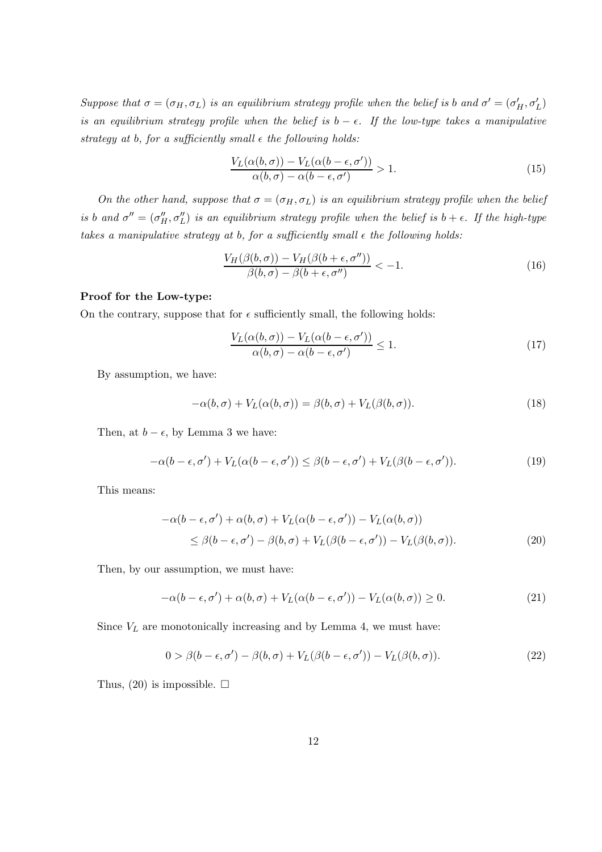Suppose that  $\sigma = (\sigma_H, \sigma_L)$  is an equilibrium strategy profile when the belief is b and  $\sigma' = (\sigma'_H, \sigma'_L)$ is an equilibrium strategy profile when the belief is  $b - \epsilon$ . If the low-type takes a manipulative strategy at b, for a sufficiently small  $\epsilon$  the following holds:

$$
\frac{V_L(\alpha(b,\sigma)) - V_L(\alpha(b-\epsilon,\sigma'))}{\alpha(b,\sigma) - \alpha(b-\epsilon,\sigma')} > 1.
$$
\n(15)

On the other hand, suppose that  $\sigma = (\sigma_H, \sigma_L)$  is an equilibrium strategy profile when the belief is b and  $\sigma'' = (\sigma''_H, \sigma''_L)$  is an equilibrium strategy profile when the belief is  $b + \epsilon$ . If the high-type takes a manipulative strategy at b, for a sufficiently small  $\epsilon$  the following holds:

$$
\frac{V_H(\beta(b,\sigma)) - V_H(\beta(b+\epsilon,\sigma''))}{\beta(b,\sigma) - \beta(b+\epsilon,\sigma'')} < -1. \tag{16}
$$

#### Proof for the Low-type:

On the contrary, suppose that for  $\epsilon$  sufficiently small, the following holds:

$$
\frac{V_L(\alpha(b,\sigma)) - V_L(\alpha(b-\epsilon,\sigma'))}{\alpha(b,\sigma) - \alpha(b-\epsilon,\sigma')} \le 1.
$$
\n(17)

By assumption, we have:

$$
-\alpha(b,\sigma) + V_L(\alpha(b,\sigma)) = \beta(b,\sigma) + V_L(\beta(b,\sigma)).
$$
\n(18)

Then, at  $b - \epsilon$ , by Lemma 3 we have:

$$
-\alpha(b-\epsilon,\sigma') + V_L(\alpha(b-\epsilon,\sigma')) \leq \beta(b-\epsilon,\sigma') + V_L(\beta(b-\epsilon,\sigma')). \tag{19}
$$

This means:

$$
-\alpha(b-\epsilon,\sigma') + \alpha(b,\sigma) + V_L(\alpha(b-\epsilon,\sigma')) - V_L(\alpha(b,\sigma))
$$
  
\$\leq \beta(b-\epsilon,\sigma') - \beta(b,\sigma) + V\_L(\beta(b-\epsilon,\sigma')) - V\_L(\beta(b,\sigma))\$. (20)

Then, by our assumption, we must have:

$$
-\alpha(b-\epsilon,\sigma') + \alpha(b,\sigma) + V_L(\alpha(b-\epsilon,\sigma')) - V_L(\alpha(b,\sigma)) \ge 0.
$$
\n(21)

Since  $V_L$  are monotonically increasing and by Lemma 4, we must have:

$$
0 > \beta(b - \epsilon, \sigma') - \beta(b, \sigma) + V_L(\beta(b - \epsilon, \sigma')) - V_L(\beta(b, \sigma)).
$$
\n(22)

Thus, (20) is impossible.  $\square$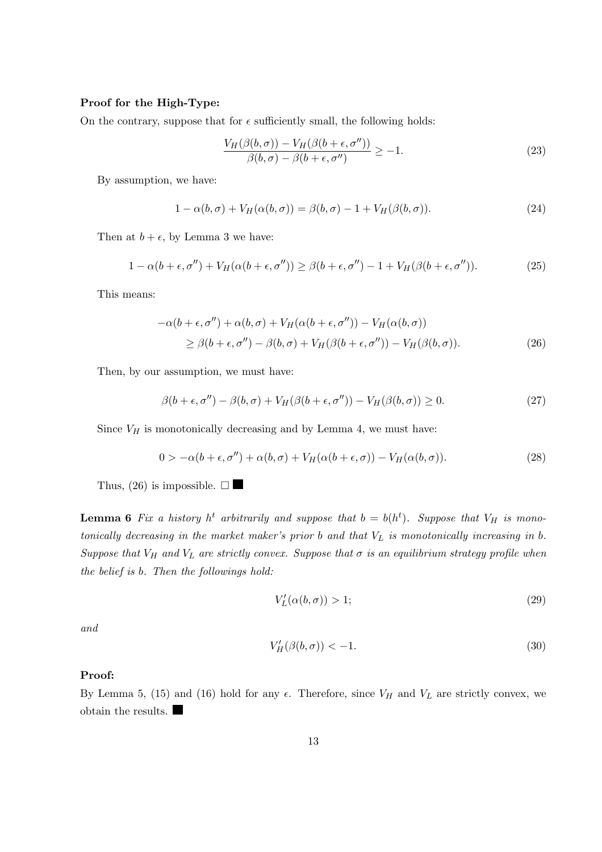## Proof for the High-Type:

On the contrary, suppose that for  $\epsilon$  sufficiently small, the following holds:

$$
\frac{V_H(\beta(b,\sigma)) - V_H(\beta(b+\epsilon,\sigma''))}{\beta(b,\sigma) - \beta(b+\epsilon,\sigma'')} \ge -1.
$$
\n(23)

By assumption, we have:

$$
1 - \alpha(b, \sigma) + V_H(\alpha(b, \sigma)) = \beta(b, \sigma) - 1 + V_H(\beta(b, \sigma)).
$$
\n(24)

Then at  $b + \epsilon$ , by Lemma 3 we have:

$$
1 - \alpha(b + \epsilon, \sigma'') + V_H(\alpha(b + \epsilon, \sigma'')) \ge \beta(b + \epsilon, \sigma'') - 1 + V_H(\beta(b + \epsilon, \sigma'')). \tag{25}
$$

This means:

$$
-\alpha(b+\epsilon,\sigma'') + \alpha(b,\sigma) + V_H(\alpha(b+\epsilon,\sigma'')) - V_H(\alpha(b,\sigma))
$$
  
\n
$$
\geq \beta(b+\epsilon,\sigma'') - \beta(b,\sigma) + V_H(\beta(b+\epsilon,\sigma'')) - V_H(\beta(b,\sigma)).
$$
\n(26)

Then, by our assumption, we must have:

$$
\beta(b+\epsilon,\sigma'') - \beta(b,\sigma) + V_H(\beta(b+\epsilon,\sigma'')) - V_H(\beta(b,\sigma)) \ge 0.
$$
\n(27)

Since  $V_H$  is monotonically decreasing and by Lemma 4, we must have:

$$
0 > -\alpha(b + \epsilon, \sigma'') + \alpha(b, \sigma) + V_H(\alpha(b + \epsilon, \sigma)) - V_H(\alpha(b, \sigma)).
$$
\n(28)

Thus, (26) is impossible.  $\square$ 

**Lemma 6** Fix a history  $h^t$  arbitrarily and suppose that  $b = b(h^t)$ . Suppose that  $V_H$  is monotonically decreasing in the market maker's prior  $b$  and that  $V_L$  is monotonically increasing in  $b$ . Suppose that  $V_H$  and  $V_L$  are strictly convex. Suppose that  $\sigma$  is an equilibrium strategy profile when the belief is b. Then the followings hold:

$$
V_L'(\alpha(b, \sigma)) > 1;\tag{29}
$$

and

$$
V_H'(\beta(b,\sigma)) < -1. \tag{30}
$$

## Proof:

By Lemma 5, (15) and (16) hold for any  $\epsilon$ . Therefore, since  $V_H$  and  $V_L$  are strictly convex, we obtain the results.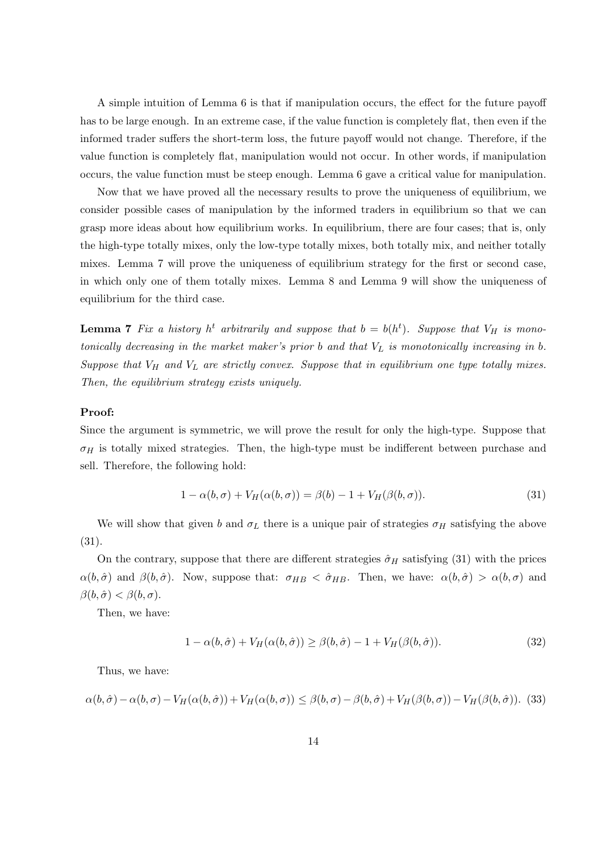A simple intuition of Lemma 6 is that if manipulation occurs, the effect for the future payoff has to be large enough. In an extreme case, if the value function is completely flat, then even if the informed trader suffers the short-term loss, the future payoff would not change. Therefore, if the value function is completely flat, manipulation would not occur. In other words, if manipulation occurs, the value function must be steep enough. Lemma 6 gave a critical value for manipulation.

Now that we have proved all the necessary results to prove the uniqueness of equilibrium, we consider possible cases of manipulation by the informed traders in equilibrium so that we can grasp more ideas about how equilibrium works. In equilibrium, there are four cases; that is, only the high-type totally mixes, only the low-type totally mixes, both totally mix, and neither totally mixes. Lemma 7 will prove the uniqueness of equilibrium strategy for the first or second case, in which only one of them totally mixes. Lemma 8 and Lemma 9 will show the uniqueness of equilibrium for the third case.

**Lemma 7** Fix a history  $h^t$  arbitrarily and suppose that  $b = b(h^t)$ . Suppose that  $V_H$  is monotonically decreasing in the market maker's prior  $b$  and that  $V_L$  is monotonically increasing in  $b$ . Suppose that  $V_H$  and  $V_L$  are strictly convex. Suppose that in equilibrium one type totally mixes. Then, the equilibrium strategy exists uniquely.

#### Proof:

Since the argument is symmetric, we will prove the result for only the high-type. Suppose that  $\sigma_H$  is totally mixed strategies. Then, the high-type must be indifferent between purchase and sell. Therefore, the following hold:

$$
1 - \alpha(b, \sigma) + V_H(\alpha(b, \sigma)) = \beta(b) - 1 + V_H(\beta(b, \sigma)).
$$
\n(31)

We will show that given b and  $\sigma_L$  there is a unique pair of strategies  $\sigma_H$  satisfying the above (31).

On the contrary, suppose that there are different strategies  $\hat{\sigma}_H$  satisfying (31) with the prices  $\alpha(b,\hat{\sigma})$  and  $\beta(b,\hat{\sigma})$ . Now, suppose that:  $\sigma_{HB} < \hat{\sigma}_{HB}$ . Then, we have:  $\alpha(b,\hat{\sigma}) > \alpha(b,\sigma)$  and  $\beta(b,\hat{\sigma}) < \beta(b,\sigma).$ 

Then, we have:

$$
1 - \alpha(b, \hat{\sigma}) + V_H(\alpha(b, \hat{\sigma})) \ge \beta(b, \hat{\sigma}) - 1 + V_H(\beta(b, \hat{\sigma})).
$$
\n(32)

Thus, we have:

$$
\alpha(b,\hat{\sigma}) - \alpha(b,\sigma) - V_H(\alpha(b,\hat{\sigma})) + V_H(\alpha(b,\sigma)) \leq \beta(b,\sigma) - \beta(b,\hat{\sigma}) + V_H(\beta(b,\sigma)) - V_H(\beta(b,\hat{\sigma})).
$$
 (33)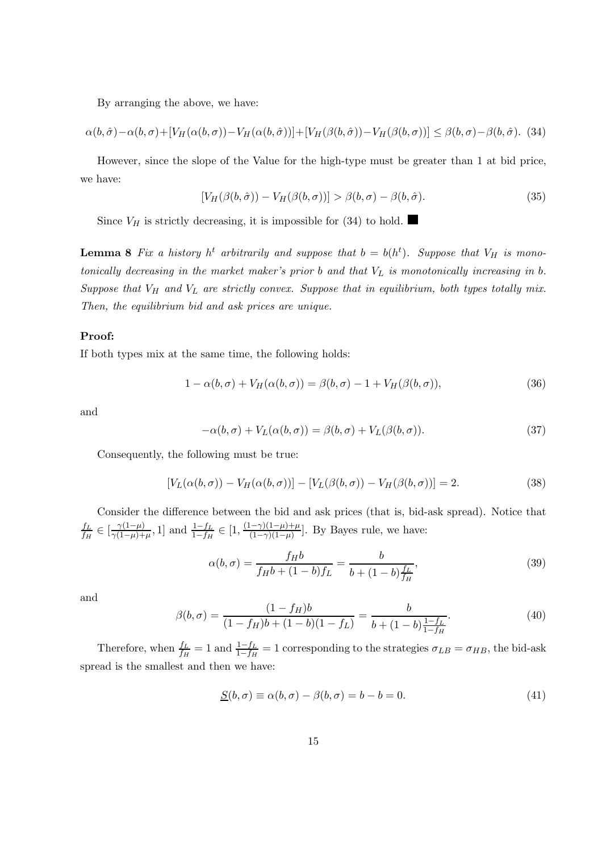By arranging the above, we have:

$$
\alpha(b,\hat{\sigma}) - \alpha(b,\sigma) + [V_H(\alpha(b,\sigma)) - V_H(\alpha(b,\hat{\sigma}))] + [V_H(\beta(b,\hat{\sigma})) - V_H(\beta(b,\sigma))] \leq \beta(b,\sigma) - \beta(b,\hat{\sigma}).
$$
 (34)

However, since the slope of the Value for the high-type must be greater than 1 at bid price, we have:

$$
[V_H(\beta(b,\hat{\sigma})) - V_H(\beta(b,\sigma))] > \beta(b,\sigma) - \beta(b,\hat{\sigma}).
$$
\n(35)

Since  $V_H$  is strictly decreasing, it is impossible for (34) to hold.

**Lemma 8** Fix a history  $h^t$  arbitrarily and suppose that  $b = b(h^t)$ . Suppose that  $V_H$  is monotonically decreasing in the market maker's prior  $b$  and that  $V_L$  is monotonically increasing in  $b$ . Suppose that  $V_H$  and  $V_L$  are strictly convex. Suppose that in equilibrium, both types totally mix. Then, the equilibrium bid and ask prices are unique.

### Proof:

If both types mix at the same time, the following holds:

$$
1 - \alpha(b, \sigma) + V_H(\alpha(b, \sigma)) = \beta(b, \sigma) - 1 + V_H(\beta(b, \sigma)),
$$
\n(36)

and

$$
-\alpha(b,\sigma) + V_L(\alpha(b,\sigma)) = \beta(b,\sigma) + V_L(\beta(b,\sigma)).
$$
\n(37)

Consequently, the following must be true:

$$
[V_L(\alpha(b,\sigma)) - V_H(\alpha(b,\sigma))] - [V_L(\beta(b,\sigma)) - V_H(\beta(b,\sigma))] = 2.
$$
\n(38)

Consider the difference between the bid and ask prices (that is, bid-ask spread). Notice that  $f_L$  $\frac{f_L}{f_H} \in [\frac{\gamma(1-\mu)}{\gamma(1-\mu)+}$  $\frac{\gamma(1-\mu)}{\gamma(1-\mu)+\mu}$ , 1] and  $\frac{1-f_L}{1-f_H} \in [1, \frac{(1-\gamma)(1-\mu)+\mu}{(1-\gamma)(1-\mu)}$  $\frac{(-\gamma)(1-\mu)+\mu}{(1-\gamma)(1-\mu)}$ . By Bayes rule, we have:

$$
\alpha(b,\sigma) = \frac{f_H b}{f_H b + (1-b)f_L} = \frac{b}{b + (1-b)\frac{f_L}{f_H}},\tag{39}
$$

and

$$
\beta(b,\sigma) = \frac{(1-f_H)b}{(1-f_H)b + (1-b)(1-f_L)} = \frac{b}{b + (1-b)\frac{1-f_L}{1-f_H}}.\tag{40}
$$

Therefore, when  $\frac{f_L}{f_H} = 1$  and  $\frac{1-f_L}{1-f_H} = 1$  corresponding to the strategies  $\sigma_{LB} = \sigma_{HB}$ , the bid-ask spread is the smallest and then we have:

$$
\underline{S}(b,\sigma) \equiv \alpha(b,\sigma) - \beta(b,\sigma) = b - b = 0. \tag{41}
$$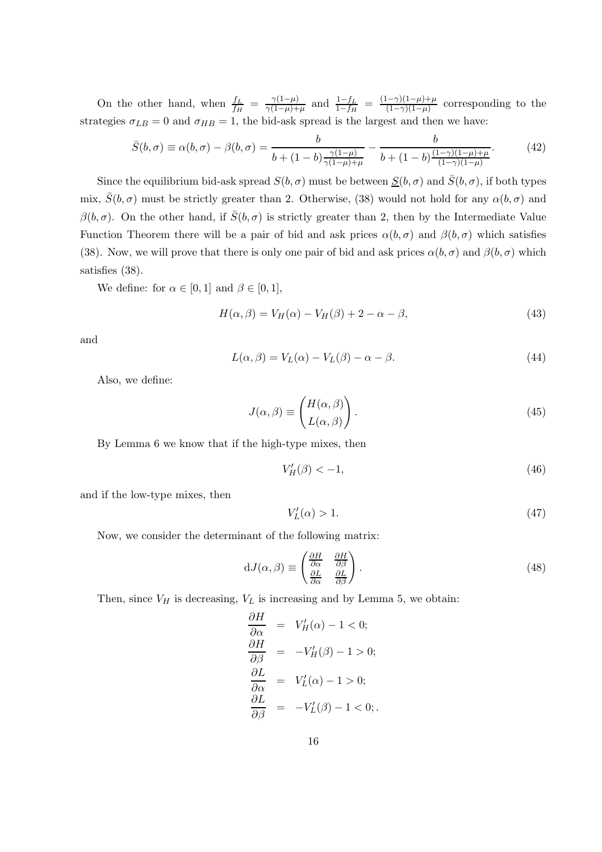On the other hand, when  $\frac{f_L}{f_H} = \frac{\gamma(1-\mu)}{\gamma(1-\mu)+\mu}$  $\frac{\gamma(1-\mu)}{\gamma(1-\mu)+\mu}$  and  $\frac{1-f_L}{1-f_H} = \frac{(1-\gamma)(1-\mu)+\mu}{(1-\gamma)(1-\mu)}$  $\frac{(-\gamma)(1-\mu)+\mu}{(1-\gamma)(1-\mu)}$  corresponding to the strategies  $\sigma_{LB} = 0$  and  $\sigma_{HB} = 1$ , the bid-ask spread is the largest and then we have:

$$
\bar{S}(b,\sigma) \equiv \alpha(b,\sigma) - \beta(b,\sigma) = \frac{b}{b + (1-b)\frac{\gamma(1-\mu)}{\gamma(1-\mu)+\mu}} - \frac{b}{b + (1-b)\frac{(1-\gamma)(1-\mu)+\mu}{(1-\gamma)(1-\mu)}}.\tag{42}
$$

Since the equilibrium bid-ask spread  $S(b, \sigma)$  must be between  $S(b, \sigma)$  and  $\overline{S}(b, \sigma)$ , if both types mix,  $\bar{S}(b,\sigma)$  must be strictly greater than 2. Otherwise, (38) would not hold for any  $\alpha(b,\sigma)$  and  $\beta(b,\sigma)$ . On the other hand, if  $\bar{S}(b,\sigma)$  is strictly greater than 2, then by the Intermediate Value Function Theorem there will be a pair of bid and ask prices  $\alpha(b,\sigma)$  and  $\beta(b,\sigma)$  which satisfies (38). Now, we will prove that there is only one pair of bid and ask prices  $\alpha(b, \sigma)$  and  $\beta(b, \sigma)$  which satisfies (38).

We define: for  $\alpha \in [0,1]$  and  $\beta \in [0,1]$ ,

$$
H(\alpha, \beta) = V_H(\alpha) - V_H(\beta) + 2 - \alpha - \beta,
$$
\n(43)

and

$$
L(\alpha, \beta) = V_L(\alpha) - V_L(\beta) - \alpha - \beta.
$$
\n(44)

Also, we define:

$$
J(\alpha, \beta) \equiv \begin{pmatrix} H(\alpha, \beta) \\ L(\alpha, \beta) \end{pmatrix} . \tag{45}
$$

By Lemma 6 we know that if the high-type mixes, then

$$
V_H'(\beta) < -1,\tag{46}
$$

and if the low-type mixes, then

$$
V_L'(\alpha) > 1. \tag{47}
$$

Now, we consider the determinant of the following matrix:

$$
dJ(\alpha, \beta) \equiv \begin{pmatrix} \frac{\partial H}{\partial \alpha} & \frac{\partial H}{\partial \beta} \\ \frac{\partial L}{\partial \alpha} & \frac{\partial L}{\partial \beta} \end{pmatrix}.
$$
 (48)

Then, since  $V_H$  is decreasing,  $V_L$  is increasing and by Lemma 5, we obtain:

$$
\frac{\partial H}{\partial \alpha} = V'_H(\alpha) - 1 < 0; \\
\frac{\partial H}{\partial \beta} = -V'_H(\beta) - 1 > 0; \\
\frac{\partial L}{\partial \alpha} = V'_L(\alpha) - 1 > 0; \\
\frac{\partial L}{\partial \beta} = -V'_L(\beta) - 1 < 0;.
$$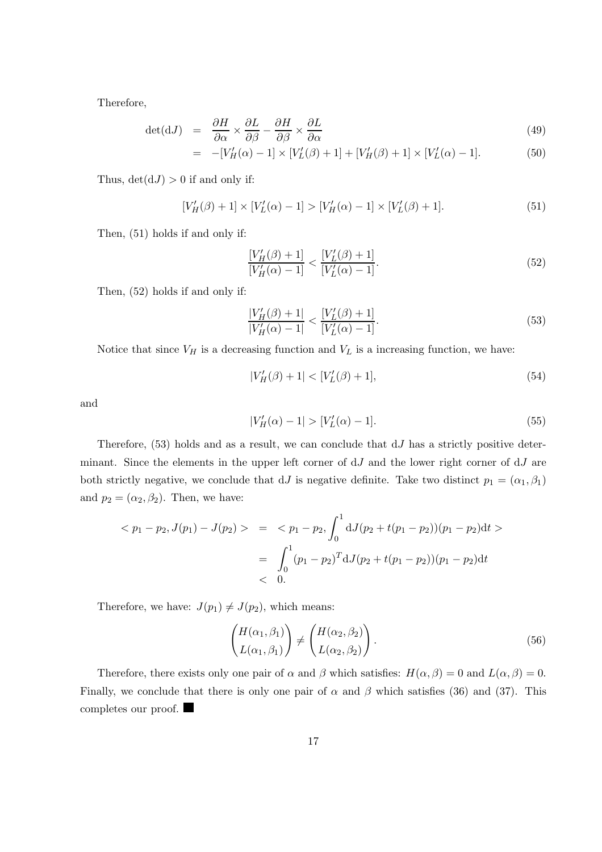Therefore,

$$
\det(\mathrm{d}J) = \frac{\partial H}{\partial \alpha} \times \frac{\partial L}{\partial \beta} - \frac{\partial H}{\partial \beta} \times \frac{\partial L}{\partial \alpha} \tag{49}
$$

$$
= -[V'_H(\alpha) - 1] \times [V'_L(\beta) + 1] + [V'_H(\beta) + 1] \times [V'_L(\alpha) - 1]. \tag{50}
$$

Thus,  $det(dJ) > 0$  if and only if:

$$
[V'_H(\beta) + 1] \times [V'_L(\alpha) - 1] > [V'_H(\alpha) - 1] \times [V'_L(\beta) + 1].
$$
\n(51)

Then, (51) holds if and only if:

$$
\frac{[V'_H(\beta) + 1]}{[V'_H(\alpha) - 1]} < \frac{[V'_L(\beta) + 1]}{[V'_L(\alpha) - 1]}.\tag{52}
$$

Then, (52) holds if and only if:

$$
\frac{|V'_H(\beta) + 1|}{|V'_H(\alpha) - 1|} < \frac{|V'_L(\beta) + 1|}{[V'_L(\alpha) - 1]}.\tag{53}
$$

Notice that since  $V_H$  is a decreasing function and  $V_L$  is a increasing function, we have:

$$
|V'_H(\beta) + 1| < [V'_L(\beta) + 1],\tag{54}
$$

and

$$
|V'_H(\alpha) - 1| > [V'_L(\alpha) - 1].
$$
\n(55)

Therefore,  $(53)$  holds and as a result, we can conclude that  $dJ$  has a strictly positive determinant. Since the elements in the upper left corner of  $dJ$  and the lower right corner of  $dJ$  are both strictly negative, we conclude that dJ is negative definite. Take two distinct  $p_1 = (\alpha_1, \beta_1)$ and  $p_2 = (\alpha_2, \beta_2)$ . Then, we have:

$$
\langle p_1 - p_2, J(p_1) - J(p_2) \rangle = \langle p_1 - p_2, \int_0^1 dJ(p_2 + t(p_1 - p_2))(p_1 - p_2) dt \rangle
$$
  
= 
$$
\int_0^1 (p_1 - p_2)^T dJ(p_2 + t(p_1 - p_2))(p_1 - p_2) dt
$$
  
< 0.

Therefore, we have:  $J(p_1) \neq J(p_2)$ , which means:

$$
\begin{pmatrix} H(\alpha_1, \beta_1) \\ L(\alpha_1, \beta_1) \end{pmatrix} \neq \begin{pmatrix} H(\alpha_2, \beta_2) \\ L(\alpha_2, \beta_2) \end{pmatrix}.
$$
\n(56)

Therefore, there exists only one pair of  $\alpha$  and  $\beta$  which satisfies:  $H(\alpha, \beta) = 0$  and  $L(\alpha, \beta) = 0$ . Finally, we conclude that there is only one pair of  $\alpha$  and  $\beta$  which satisfies (36) and (37). This completes our proof.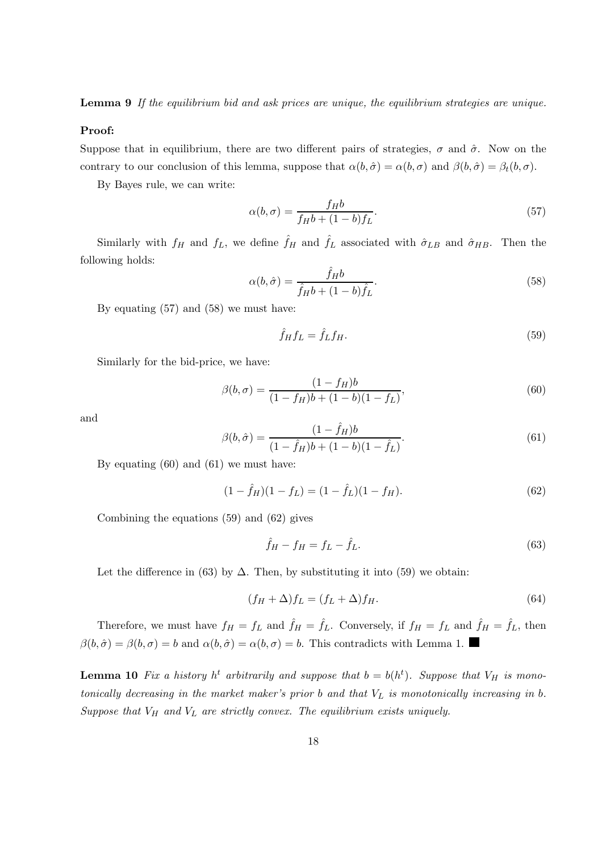**Lemma 9** If the equilibrium bid and ask prices are unique, the equilibrium strategies are unique.

#### Proof:

Suppose that in equilibrium, there are two different pairs of strategies,  $\sigma$  and  $\hat{\sigma}$ . Now on the contrary to our conclusion of this lemma, suppose that  $\alpha(b, \hat{\sigma}) = \alpha(b, \sigma)$  and  $\beta(b, \hat{\sigma}) = \beta_t(b, \sigma)$ .

By Bayes rule, we can write:

$$
\alpha(b,\sigma) = \frac{f_H b}{f_H b + (1-b)f_L}.\tag{57}
$$

Similarly with  $f_H$  and  $f_L$ , we define  $\hat{f}_H$  and  $\hat{f}_L$  associated with  $\hat{\sigma}_{LB}$  and  $\hat{\sigma}_{HB}$ . Then the following holds:

$$
\alpha(b,\hat{\sigma}) = \frac{\hat{f}_H b}{\hat{f}_H b + (1-b)\hat{f}_L}.\tag{58}
$$

By equating (57) and (58) we must have:

$$
\hat{f}_H f_L = \hat{f}_L f_H. \tag{59}
$$

Similarly for the bid-price, we have:

$$
\beta(b,\sigma) = \frac{(1 - f_H)b}{(1 - f_H)b + (1 - b)(1 - f_L)},\tag{60}
$$

and

$$
\beta(b,\hat{\sigma}) = \frac{(1-\hat{f}_H)b}{(1-\hat{f}_H)b + (1-b)(1-\hat{f}_L)}.
$$
\n(61)

By equating (60) and (61) we must have:

$$
(1 - \hat{f}_H)(1 - f_L) = (1 - \hat{f}_L)(1 - f_H). \tag{62}
$$

Combining the equations (59) and (62) gives

$$
\hat{f}_H - f_H = f_L - \hat{f}_L. \tag{63}
$$

Let the difference in (63) by  $\Delta$ . Then, by substituting it into (59) we obtain:

$$
(f_H + \Delta) f_L = (f_L + \Delta) f_H.
$$
\n(64)

Therefore, we must have  $f_H = f_L$  and  $\hat{f}_H = \hat{f}_L$ . Conversely, if  $f_H = f_L$  and  $\hat{f}_H = \hat{f}_L$ , then  $\beta(b,\hat{\sigma}) = \beta(b,\sigma) = b$  and  $\alpha(b,\hat{\sigma}) = \alpha(b,\sigma) = b$ . This contradicts with Lemma 1.

**Lemma 10** Fix a history  $h^t$  arbitrarily and suppose that  $b = b(h^t)$ . Suppose that  $V_H$  is monotonically decreasing in the market maker's prior  $b$  and that  $V_L$  is monotonically increasing in  $b$ . Suppose that  $V_H$  and  $V_L$  are strictly convex. The equilibrium exists uniquely.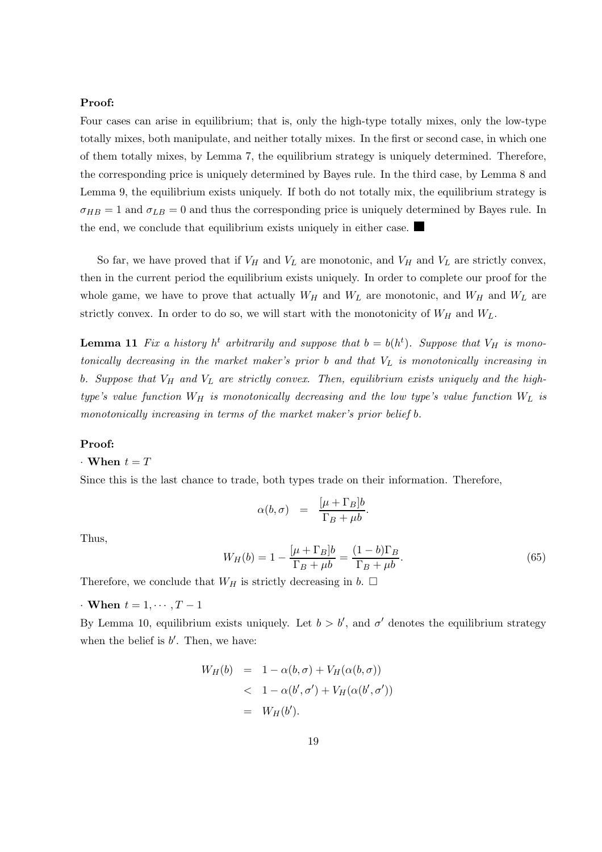## Proof:

Four cases can arise in equilibrium; that is, only the high-type totally mixes, only the low-type totally mixes, both manipulate, and neither totally mixes. In the first or second case, in which one of them totally mixes, by Lemma 7, the equilibrium strategy is uniquely determined. Therefore, the corresponding price is uniquely determined by Bayes rule. In the third case, by Lemma 8 and Lemma 9, the equilibrium exists uniquely. If both do not totally mix, the equilibrium strategy is  $\sigma_{HB} = 1$  and  $\sigma_{LB} = 0$  and thus the corresponding price is uniquely determined by Bayes rule. In the end, we conclude that equilibrium exists uniquely in either case.  $\blacksquare$ 

So far, we have proved that if  $V_H$  and  $V_L$  are monotonic, and  $V_H$  and  $V_L$  are strictly convex, then in the current period the equilibrium exists uniquely. In order to complete our proof for the whole game, we have to prove that actually  $W_H$  and  $W_L$  are monotonic, and  $W_H$  and  $W_L$  are strictly convex. In order to do so, we will start with the monotonicity of  $W_H$  and  $W_L$ .

**Lemma 11** Fix a history  $h^t$  arbitrarily and suppose that  $b = b(h^t)$ . Suppose that  $V_H$  is monotonically decreasing in the market maker's prior  $b$  and that  $V_L$  is monotonically increasing in b. Suppose that  $V_H$  and  $V_L$  are strictly convex. Then, equilibrium exists uniquely and the hightype's value function  $W_H$  is monotonically decreasing and the low type's value function  $W_L$  is monotonically increasing in terms of the market maker's prior belief b.

#### Proof:

## $\cdot$  When  $t=T$

Since this is the last chance to trade, both types trade on their information. Therefore,

$$
\alpha(b,\sigma) = \frac{[\mu + \Gamma_B]b}{\Gamma_B + \mu b}.
$$

Thus,

$$
W_H(b) = 1 - \frac{[\mu + \Gamma_B]b}{\Gamma_B + \mu b} = \frac{(1 - b)\Gamma_B}{\Gamma_B + \mu b}.
$$
\n
$$
(65)
$$

Therefore, we conclude that  $W_H$  is strictly decreasing in b.  $\Box$ 

 $\cdot$  When  $t = 1, \cdots, T-1$ 

By Lemma 10, equilibrium exists uniquely. Let  $b > b'$ , and  $\sigma'$  denotes the equilibrium strategy when the belief is  $b'$ . Then, we have:

$$
W_H(b) = 1 - \alpha(b, \sigma) + V_H(\alpha(b, \sigma))
$$
  
< 
$$
< 1 - \alpha(b', \sigma') + V_H(\alpha(b', \sigma'))
$$
  

$$
= W_H(b').
$$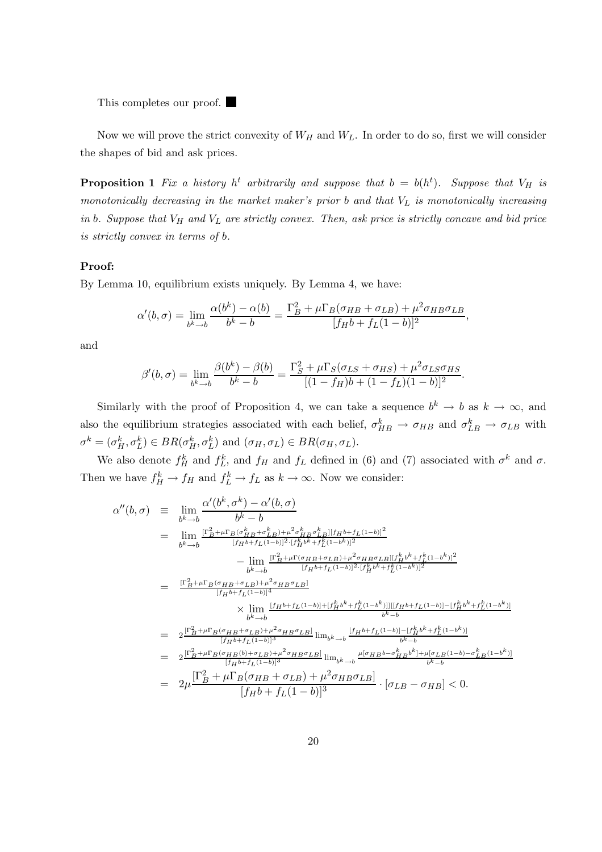This completes our proof.  $\blacksquare$ 

Now we will prove the strict convexity of  $W_H$  and  $W_L$ . In order to do so, first we will consider the shapes of bid and ask prices.

**Proposition 1** Fix a history  $h^t$  arbitrarily and suppose that  $b = b(h^t)$ . Suppose that  $V_H$  is monotonically decreasing in the market maker's prior  $b$  and that  $V_L$  is monotonically increasing in b. Suppose that  $V_H$  and  $V_L$  are strictly convex. Then, ask price is strictly concave and bid price is strictly convex in terms of b.

#### Proof:

By Lemma 10, equilibrium exists uniquely. By Lemma 4, we have:

$$
\alpha'(b,\sigma) = \lim_{b^k \to b} \frac{\alpha(b^k) - \alpha(b)}{b^k - b} = \frac{\Gamma_B^2 + \mu \Gamma_B(\sigma_{HB} + \sigma_{LB}) + \mu^2 \sigma_{HB} \sigma_{LB}}{[f_H b + f_L(1-b)]^2},
$$

and

$$
\beta'(b,\sigma) = \lim_{b^k \to b} \frac{\beta(b^k) - \beta(b)}{b^k - b} = \frac{\Gamma_S^2 + \mu \Gamma_S(\sigma_{LS} + \sigma_{HS}) + \mu^2 \sigma_{LS} \sigma_{HS}}{[(1 - f_H)b + (1 - f_L)(1 - b)]^2}.
$$

Similarly with the proof of Proposition 4, we can take a sequence  $b^k \to b$  as  $k \to \infty$ , and also the equilibrium strategies associated with each belief,  $\sigma_{HB}^k \to \sigma_{HB}$  and  $\sigma_{LB}^k \to \sigma_{LB}$  with  $\sigma^k = (\sigma_H^k, \sigma_L^k) \in BR(\sigma_H^k, \sigma_L^k)$  and  $(\sigma_H, \sigma_L) \in BR(\sigma_H, \sigma_L)$ .

We also denote  $f_H^k$  and  $f_L^k$ , and  $f_H$  and  $f_L$  defined in (6) and (7) associated with  $\sigma^k$  and  $\sigma$ . Then we have  $f_H^k \to f_H$  and  $f_L^k \to f_L$  as  $k \to \infty$ . Now we consider:

$$
\alpha''(b,\sigma) = \lim_{b^k \to b} \frac{\alpha'(b^k, \sigma^k) - \alpha'(b, \sigma)}{b^k - b}
$$
\n
$$
= \lim_{b^k \to b} \frac{\Gamma_B^2 + \mu \Gamma_B(\sigma_H^k B + \sigma_L^k B) + \mu^2 \sigma_H^k B \sigma_L^k \|\{H^{b} + f_L(1-b)\}^2}{[f_H b + f_L(1-b)]^2 \cdot [f_H^k b^k + f_L^k (1-b^k)]^2}
$$
\n
$$
- \lim_{b^k \to b} \frac{\Gamma_B^2 + \mu \Gamma(\sigma_H B + \sigma_L B) + \mu^2 \sigma_H B \sigma_L B \|\{f_H^k b^k + f_L^k (1-b^k)\}^2}{[f_H b + f_L(1-b)]^4}
$$
\n
$$
= \frac{\Gamma_B^2 + \mu \Gamma_B(\sigma_H B + \sigma_L B) + \mu^2 \sigma_H B \sigma_L B \|\{\sigma_H^k b^k + f_L^k (1-b^k)\}^2}{[f_H b + f_L(1-b)]^4}
$$
\n
$$
\times \lim_{b^k \to b} \frac{\{f_H b + f_L(1-b)\} + \{f_H^k b^k + f_L^k (1-b^k)\} \|\{\{f_H b + f_L(1-b)\} - \{f_H^k b^k + f_L^k (1-b^k)\} \|\}}{b^k - b}
$$
\n
$$
= 2 \frac{\Gamma_B^2 + \mu \Gamma_B(\sigma_H B + \sigma_L B) + \mu^2 \sigma_H B \sigma_L B \|\{\Pi_B b + \sigma_L (1-b)\} - \{f_H^k b^k + f_L^k (1-b^k)\} \|\}}{[f_H b + f_L(1-b)]^3} \lim_{b^k \to b} \frac{\mu[\sigma_H B b - \sigma_H^k B b^k] + \mu[\sigma_L B (1-b) - \sigma_L^k B (1-b^k)]}{b^k - b}
$$
\n
$$
= 2 \mu \frac{\Gamma_B^2 + \mu \Gamma_B(\sigma_H B (b) + \sigma_L B) + \mu^2 \sigma_H B \sigma_L B \|\}}{[f_H b + f_L(1-b)]^3} \cdot [\sigma_L B - \sigma_H B] < 0.
$$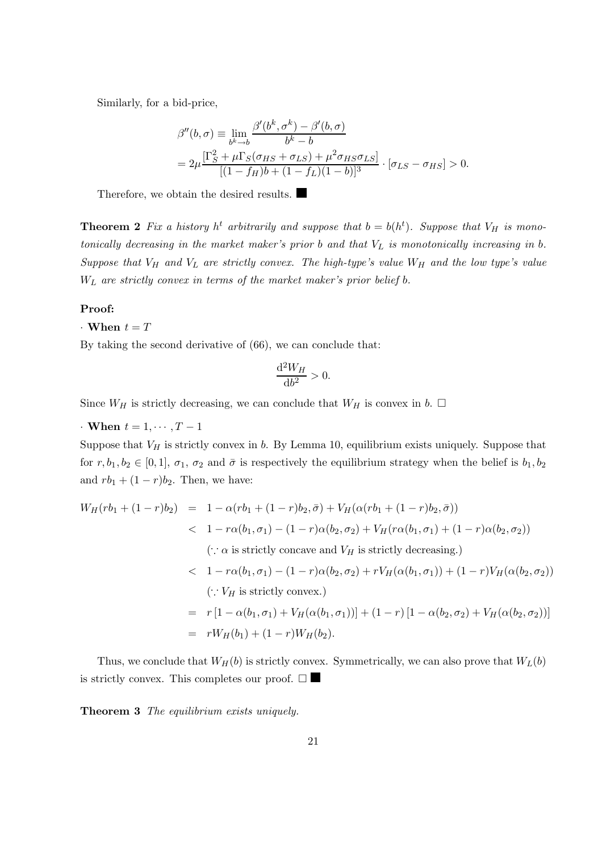Similarly, for a bid-price,

$$
\beta''(b,\sigma) \equiv \lim_{b^k \to b} \frac{\beta'(b^k, \sigma^k) - \beta'(b, \sigma)}{b^k - b}
$$
  
= 
$$
2\mu \frac{\left[\Gamma_S^2 + \mu \Gamma_S(\sigma_{HS} + \sigma_{LS}) + \mu^2 \sigma_{HS} \sigma_{LS}\right]}{[(1 - f_H)b + (1 - f_L)(1 - b)]^3} \cdot [\sigma_{LS} - \sigma_{HS}] > 0.
$$

Therefore, we obtain the desired results.

**Theorem 2** Fix a history  $h^t$  arbitrarily and suppose that  $b = b(h^t)$ . Suppose that  $V_H$  is monotonically decreasing in the market maker's prior  $b$  and that  $V_L$  is monotonically increasing in  $b$ . Suppose that  $V_H$  and  $V_L$  are strictly convex. The high-type's value  $W_H$  and the low type's value  $W_L$  are strictly convex in terms of the market maker's prior belief b.

#### Proof:

#### $\cdot$  When  $t = T$

By taking the second derivative of (66), we can conclude that:

$$
\frac{\mathrm{d}^2 W_H}{\mathrm{d}b^2} > 0.
$$

Since  $W_H$  is strictly decreasing, we can conclude that  $W_H$  is convex in b.  $\Box$ 

 $\cdot$  When  $t = 1, \cdots, T-1$ 

Suppose that  $V_H$  is strictly convex in b. By Lemma 10, equilibrium exists uniquely. Suppose that for  $r, b_1, b_2 \in [0, 1], \sigma_1, \sigma_2$  and  $\bar{\sigma}$  is respectively the equilibrium strategy when the belief is  $b_1, b_2$ and  $rb_1 + (1 - r)b_2$ . Then, we have:

$$
W_H(rb_1 + (1 - r)b_2) = 1 - \alpha(rb_1 + (1 - r)b_2, \bar{\sigma}) + V_H(\alpha(rb_1 + (1 - r)b_2, \bar{\sigma}))
$$
  

$$
< 1 - r\alpha(b_1, \sigma_1) - (1 - r)\alpha(b_2, \sigma_2) + V_H(r\alpha(b_1, \sigma_1) + (1 - r)\alpha(b_2, \sigma_2))
$$
  

$$
(\because \alpha \text{ is strictly concave and } V_H \text{ is strictly decreasing.})
$$
  

$$
< 1 - r\alpha(b_1, \sigma_1) - (1 - r)\alpha(b_2, \sigma_2) + rV_H(\alpha(b_1, \sigma_1)) + (1 - r)V_H(\alpha(b_2, \sigma_2))
$$
  

$$
(\because V_H \text{ is strictly convex.})
$$
  

$$
= r[1 - \alpha(b_1, \sigma_1) + V_H(\alpha(b_1, \sigma_1))] + (1 - r)[1 - \alpha(b_2, \sigma_2) + V_H(\alpha(b_2, \sigma_2))]
$$
  

$$
= rW_H(b_1) + (1 - r)W_H(b_2).
$$

Thus, we conclude that  $W_H(b)$  is strictly convex. Symmetrically, we can also prove that  $W_L(b)$ is strictly convex. This completes our proof.  $\square$ 

Theorem 3 The equilibrium exists uniquely.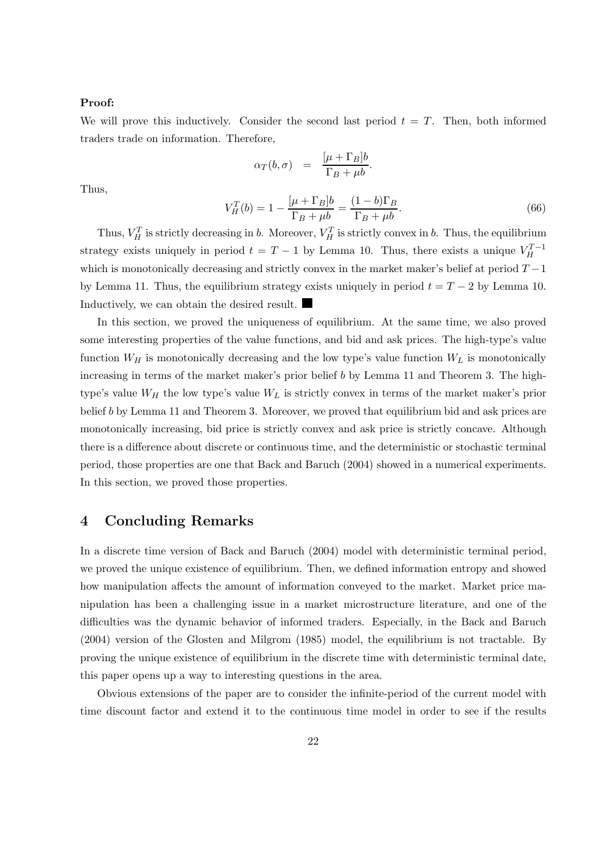#### Proof:

We will prove this inductively. Consider the second last period  $t = T$ . Then, both informed traders trade on information. Therefore,

$$
\alpha_T(b,\sigma) = \frac{[\mu + \Gamma_B]b}{\Gamma_B + \mu b}.
$$

Thus,

$$
V_H^T(b) = 1 - \frac{[\mu + \Gamma_B]b}{\Gamma_B + \mu b} = \frac{(1 - b)\Gamma_B}{\Gamma_B + \mu b}.
$$
\n
$$
(66)
$$

Thus,  $V_H^T$  is strictly decreasing in b. Moreover,  $V_H^T$  is strictly convex in b. Thus, the equilibrium strategy exists uniquely in period  $t = T - 1$  by Lemma 10. Thus, there exists a unique  $V_H^{T-1}$ which is monotonically decreasing and strictly convex in the market maker's belief at period  $T-1$ by Lemma 11. Thus, the equilibrium strategy exists uniquely in period  $t = T - 2$  by Lemma 10. Inductively, we can obtain the desired result.

In this section, we proved the uniqueness of equilibrium. At the same time, we also proved some interesting properties of the value functions, and bid and ask prices. The high-type's value function  $W_H$  is monotonically decreasing and the low type's value function  $W_L$  is monotonically increasing in terms of the market maker's prior belief b by Lemma 11 and Theorem 3. The hightype's value  $W_H$  the low type's value  $W_L$  is strictly convex in terms of the market maker's prior belief b by Lemma 11 and Theorem 3. Moreover, we proved that equilibrium bid and ask prices are monotonically increasing, bid price is strictly convex and ask price is strictly concave. Although there is a difference about discrete or continuous time, and the deterministic or stochastic terminal period, those properties are one that Back and Baruch (2004) showed in a numerical experiments. In this section, we proved those properties.

# 4 Concluding Remarks

In a discrete time version of Back and Baruch (2004) model with deterministic terminal period, we proved the unique existence of equilibrium. Then, we defined information entropy and showed how manipulation affects the amount of information conveyed to the market. Market price manipulation has been a challenging issue in a market microstructure literature, and one of the difficulties was the dynamic behavior of informed traders. Especially, in the Back and Baruch (2004) version of the Glosten and Milgrom (1985) model, the equilibrium is not tractable. By proving the unique existence of equilibrium in the discrete time with deterministic terminal date, this paper opens up a way to interesting questions in the area.

Obvious extensions of the paper are to consider the infinite-period of the current model with time discount factor and extend it to the continuous time model in order to see if the results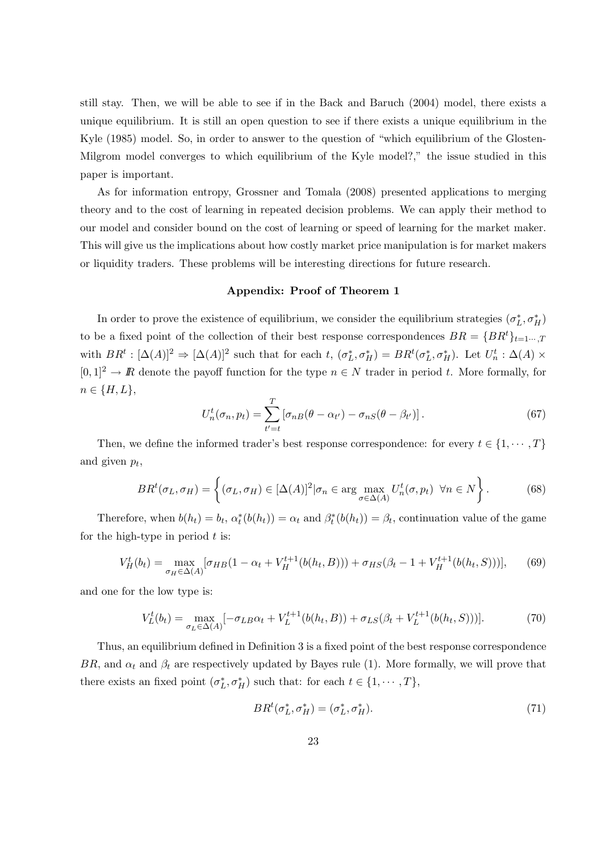still stay. Then, we will be able to see if in the Back and Baruch (2004) model, there exists a unique equilibrium. It is still an open question to see if there exists a unique equilibrium in the Kyle (1985) model. So, in order to answer to the question of "which equilibrium of the Glosten-Milgrom model converges to which equilibrium of the Kyle model?," the issue studied in this paper is important.

As for information entropy, Grossner and Tomala (2008) presented applications to merging theory and to the cost of learning in repeated decision problems. We can apply their method to our model and consider bound on the cost of learning or speed of learning for the market maker. This will give us the implications about how costly market price manipulation is for market makers or liquidity traders. These problems will be interesting directions for future research.

#### Appendix: Proof of Theorem 1

In order to prove the existence of equilibrium, we consider the equilibrium strategies  $(\sigma_L^*, \sigma_H^*)$ to be a fixed point of the collection of their best response correspondences  $BR = \{BR^t\}_{t=1\cdots,T}$ with  $BR^t : [\Delta(A)]^2 \Rightarrow [\Delta(A)]^2$  such that for each t,  $(\sigma_L^*, \sigma_H^*) = BR^t(\sigma_L^*, \sigma_H^*)$ . Let  $U_n^t : \Delta(A) \times$  $[0, 1]^2 \rightarrow \mathbb{R}$  denote the payoff function for the type  $n \in \mathbb{N}$  trader in period t. More formally, for  $n \in \{H, L\},\$ 

$$
U_n^t(\sigma_n, p_t) = \sum_{t'=t}^T \left[ \sigma_{nB}(\theta - \alpha_{t'}) - \sigma_{nS}(\theta - \beta_{t'}) \right]. \tag{67}
$$

Then, we define the informed trader's best response correspondence: for every  $t \in \{1, \dots, T\}$ and given  $p_t$ ,

$$
BR^t(\sigma_L, \sigma_H) = \left\{ (\sigma_L, \sigma_H) \in [\Delta(A)]^2 | \sigma_n \in \arg\max_{\sigma \in \Delta(A)} U_n^t(\sigma, p_t) \ \forall n \in N \right\}.
$$
 (68)

Therefore, when  $b(h_t) = b_t$ ,  $\alpha_t^*(b(h_t)) = \alpha_t$  and  $\beta_t^*(b(h_t)) = \beta_t$ , continuation value of the game for the high-type in period  $t$  is:

$$
V_H^t(b_t) = \max_{\sigma_H \in \Delta(A)} [\sigma_{HB}(1 - \alpha_t + V_H^{t+1}(b(h_t, B))) + \sigma_{HS}(\beta_t - 1 + V_H^{t+1}(b(h_t, S)))],
$$
(69)

and one for the low type is:

$$
V_L^t(b_t) = \max_{\sigma_L \in \Delta(A)} [-\sigma_{LB}\alpha_t + V_L^{t+1}(b(h_t, B)) + \sigma_{LS}(\beta_t + V_L^{t+1}(b(h_t, S)))].
$$
\n(70)

Thus, an equilibrium defined in Definition 3 is a fixed point of the best response correspondence BR, and  $\alpha_t$  and  $\beta_t$  are respectively updated by Bayes rule (1). More formally, we will prove that there exists an fixed point  $(\sigma_L^*, \sigma_H^*)$  such that: for each  $t \in \{1, \cdots, T\}$ ,

$$
BRt(\sigma_L^*, \sigma_H^*) = (\sigma_L^*, \sigma_H^*).
$$
\n(71)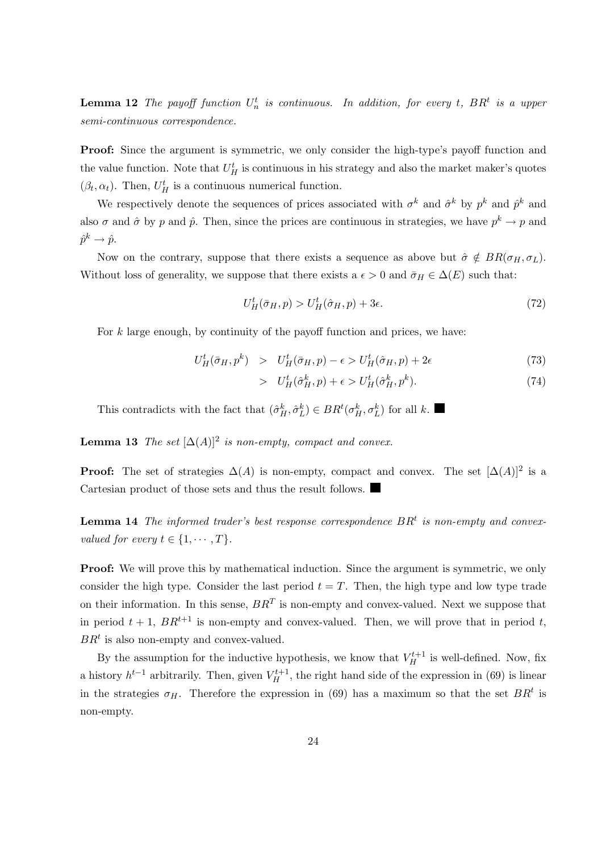**Lemma 12** The payoff function  $U_n^t$  is continuous. In addition, for every t,  $BR^t$  is a upper semi-continuous correspondence.

**Proof:** Since the argument is symmetric, we only consider the high-type's payoff function and the value function. Note that  $U_H^t$  is continuous in his strategy and also the market maker's quotes  $(\beta_t, \alpha_t)$ . Then,  $U_H^t$  is a continuous numerical function.

We respectively denote the sequences of prices associated with  $\sigma^k$  and  $\hat{\sigma}^k$  by  $p^k$  and  $\hat{p}^k$  and also  $\sigma$  and  $\hat{\sigma}$  by p and  $\hat{p}$ . Then, since the prices are continuous in strategies, we have  $p^k \to p$  and  $\hat{p}^k \rightarrow \hat{p}.$ 

Now on the contrary, suppose that there exists a sequence as above but  $\hat{\sigma} \notin BR(\sigma_H, \sigma_L)$ . Without loss of generality, we suppose that there exists a  $\epsilon > 0$  and  $\bar{\sigma}_H \in \Delta(E)$  such that:

$$
U_H^t(\bar{\sigma}_H, p) > U_H^t(\hat{\sigma}_H, p) + 3\epsilon. \tag{72}
$$

For  $k$  large enough, by continuity of the payoff function and prices, we have:

$$
U_H^t(\bar{\sigma}_H, p^k) > U_H^t(\bar{\sigma}_H, p) - \epsilon > U_H^t(\hat{\sigma}_H, p) + 2\epsilon
$$
\n
$$
(73)
$$

$$
> U^t_H(\hat{\sigma}^k_H, p) + \epsilon > U^t_H(\hat{\sigma}^k_H, p^k). \tag{74}
$$

This contradicts with the fact that  $(\hat{\sigma}_H^k, \hat{\sigma}_L^k) \in BR^t(\sigma_H^k, \sigma_L^k)$  for all k.

**Lemma 13** The set  $[\Delta(A)]^2$  is non-empty, compact and convex.

**Proof:** The set of strategies  $\Delta(A)$  is non-empty, compact and convex. The set  $[\Delta(A)]^2$  is a Cartesian product of those sets and thus the result follows.

**Lemma 14** The informed trader's best response correspondence  $BR<sup>t</sup>$  is non-empty and convexvalued for every  $t \in \{1, \cdots, T\}$ .

**Proof:** We will prove this by mathematical induction. Since the argument is symmetric, we only consider the high type. Consider the last period  $t = T$ . Then, the high type and low type trade on their information. In this sense,  $BR<sup>T</sup>$  is non-empty and convex-valued. Next we suppose that in period  $t + 1$ ,  $BR^{t+1}$  is non-empty and convex-valued. Then, we will prove that in period t,  $BR<sup>t</sup>$  is also non-empty and convex-valued.

By the assumption for the inductive hypothesis, we know that  $V_H^{t+1}$  is well-defined. Now, fix a history  $h^{t-1}$  arbitrarily. Then, given  $V_H^{t+1}$ , the right hand side of the expression in (69) is linear in the strategies  $\sigma_H$ . Therefore the expression in (69) has a maximum so that the set  $BR<sup>t</sup>$  is non-empty.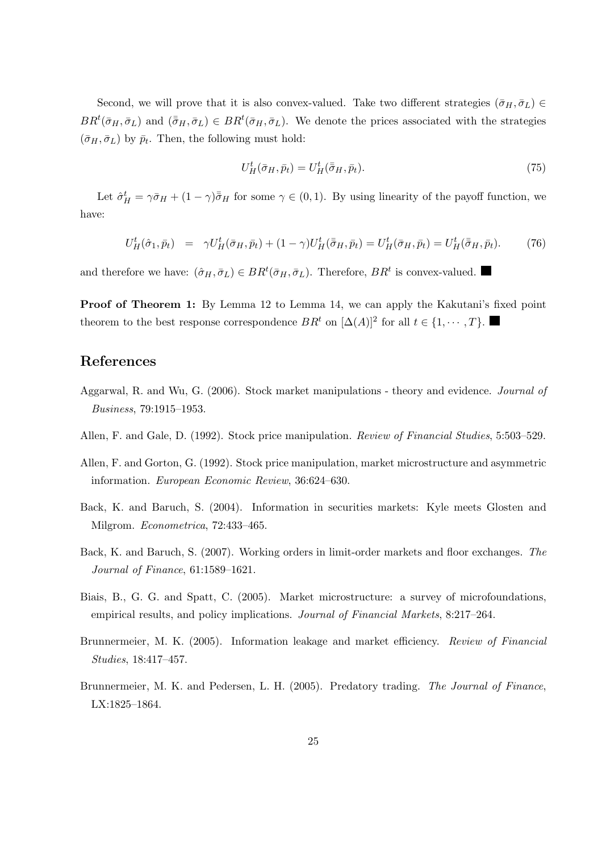Second, we will prove that it is also convex-valued. Take two different strategies  $(\bar{\sigma}_H, \bar{\sigma}_L) \in$  $BR<sup>t</sup>(\bar{\sigma}_H, \bar{\sigma}_L)$  and  $(\bar{\bar{\sigma}}_H, \bar{\sigma}_L) \in BR<sup>t</sup>(\bar{\sigma}_H, \bar{\sigma}_L)$ . We denote the prices associated with the strategies  $(\bar{\sigma}_H, \bar{\sigma}_L)$  by  $\bar{p}_t$ . Then, the following must hold:

$$
U_H^t(\bar{\sigma}_H, \bar{p}_t) = U_H^t(\bar{\bar{\sigma}}_H, \bar{p}_t). \tag{75}
$$

Let  $\hat{\sigma}_{H}^{t} = \gamma \bar{\sigma}_{H} + (1 - \gamma)\bar{\sigma}_{H}$  for some  $\gamma \in (0, 1)$ . By using linearity of the payoff function, we have:

$$
U_H^t(\hat{\sigma}_1, \bar{p}_t) = \gamma U_H^t(\bar{\sigma}_H, \bar{p}_t) + (1 - \gamma)U_H^t(\bar{\bar{\sigma}}_H, \bar{p}_t) = U_H^t(\bar{\sigma}_H, \bar{p}_t) = U_H^t(\bar{\bar{\sigma}}_H, \bar{p}_t). \tag{76}
$$

and therefore we have:  $(\hat{\sigma}_H, \bar{\sigma}_L) \in BR^t(\bar{\sigma}_H, \bar{\sigma}_L)$ . Therefore,  $BR^t$  is convex-valued.

Proof of Theorem 1: By Lemma 12 to Lemma 14, we can apply the Kakutani's fixed point theorem to the best response correspondence  $BR<sup>t</sup>$  on  $[\Delta(A)]^2$  for all  $t \in \{1, \dots, T\}$ .

# References

- Aggarwal, R. and Wu, G. (2006). Stock market manipulations theory and evidence. Journal of Business, 79:1915–1953.
- Allen, F. and Gale, D. (1992). Stock price manipulation. Review of Financial Studies, 5:503–529.
- Allen, F. and Gorton, G. (1992). Stock price manipulation, market microstructure and asymmetric information. European Economic Review, 36:624–630.
- Back, K. and Baruch, S. (2004). Information in securities markets: Kyle meets Glosten and Milgrom. Econometrica, 72:433–465.
- Back, K. and Baruch, S. (2007). Working orders in limit-order markets and floor exchanges. The Journal of Finance, 61:1589–1621.
- Biais, B., G. G. and Spatt, C. (2005). Market microstructure: a survey of microfoundations, empirical results, and policy implications. Journal of Financial Markets, 8:217–264.
- Brunnermeier, M. K. (2005). Information leakage and market efficiency. Review of Financial Studies, 18:417–457.
- Brunnermeier, M. K. and Pedersen, L. H. (2005). Predatory trading. The Journal of Finance, LX:1825–1864.